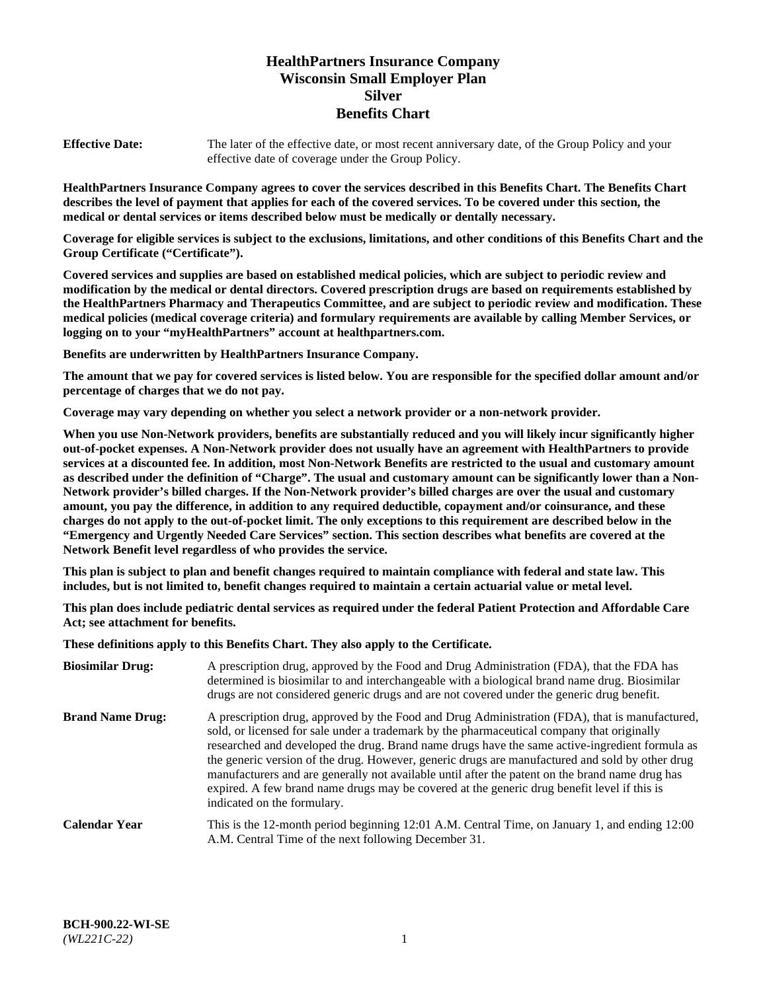# **HealthPartners Insurance Company Wisconsin Small Employer Plan Silver Benefits Chart**

**Effective Date:** The later of the effective date, or most recent anniversary date, of the Group Policy and your effective date of coverage under the Group Policy.

**HealthPartners Insurance Company agrees to cover the services described in this Benefits Chart. The Benefits Chart describes the level of payment that applies for each of the covered services. To be covered under this section, the medical or dental services or items described below must be medically or dentally necessary.**

**Coverage for eligible services is subject to the exclusions, limitations, and other conditions of this Benefits Chart and the Group Certificate ("Certificate").**

**Covered services and supplies are based on established medical policies, which are subject to periodic review and modification by the medical or dental directors. Covered prescription drugs are based on requirements established by the HealthPartners Pharmacy and Therapeutics Committee, and are subject to periodic review and modification. These medical policies (medical coverage criteria) and formulary requirements are available by calling Member Services, or logging on to your "myHealthPartners" account at [healthpartners.com.](https://www.healthpartners.com/hp/index.html)** 

**Benefits are underwritten by HealthPartners Insurance Company.**

**The amount that we pay for covered services is listed below. You are responsible for the specified dollar amount and/or percentage of charges that we do not pay.**

**Coverage may vary depending on whether you select a network provider or a non-network provider.**

**When you use Non-Network providers, benefits are substantially reduced and you will likely incur significantly higher out-of-pocket expenses. A Non-Network provider does not usually have an agreement with HealthPartners to provide services at a discounted fee. In addition, most Non-Network Benefits are restricted to the usual and customary amount as described under the definition of "Charge". The usual and customary amount can be significantly lower than a Non-Network provider's billed charges. If the Non-Network provider's billed charges are over the usual and customary amount, you pay the difference, in addition to any required deductible, copayment and/or coinsurance, and these charges do not apply to the out-of-pocket limit. The only exceptions to this requirement are described below in the "Emergency and Urgently Needed Care Services" section. This section describes what benefits are covered at the Network Benefit level regardless of who provides the service.**

**This plan is subject to plan and benefit changes required to maintain compliance with federal and state law. This includes, but is not limited to, benefit changes required to maintain a certain actuarial value or metal level.**

**This plan does include pediatric dental services as required under the federal Patient Protection and Affordable Care Act; see attachment for benefits.**

**These definitions apply to this Benefits Chart. They also apply to the Certificate.**

| <b>Biosimilar Drug:</b> | A prescription drug, approved by the Food and Drug Administration (FDA), that the FDA has<br>determined is biosimilar to and interchangeable with a biological brand name drug. Biosimilar<br>drugs are not considered generic drugs and are not covered under the generic drug benefit.                                                                                                                                                                                                                                                                                                                                           |
|-------------------------|------------------------------------------------------------------------------------------------------------------------------------------------------------------------------------------------------------------------------------------------------------------------------------------------------------------------------------------------------------------------------------------------------------------------------------------------------------------------------------------------------------------------------------------------------------------------------------------------------------------------------------|
| <b>Brand Name Drug:</b> | A prescription drug, approved by the Food and Drug Administration (FDA), that is manufactured,<br>sold, or licensed for sale under a trademark by the pharmaceutical company that originally<br>researched and developed the drug. Brand name drugs have the same active-ingredient formula as<br>the generic version of the drug. However, generic drugs are manufactured and sold by other drug<br>manufacturers and are generally not available until after the patent on the brand name drug has<br>expired. A few brand name drugs may be covered at the generic drug benefit level if this is<br>indicated on the formulary. |
| <b>Calendar Year</b>    | This is the 12-month period beginning 12:01 A.M. Central Time, on January 1, and ending 12:00<br>A.M. Central Time of the next following December 31.                                                                                                                                                                                                                                                                                                                                                                                                                                                                              |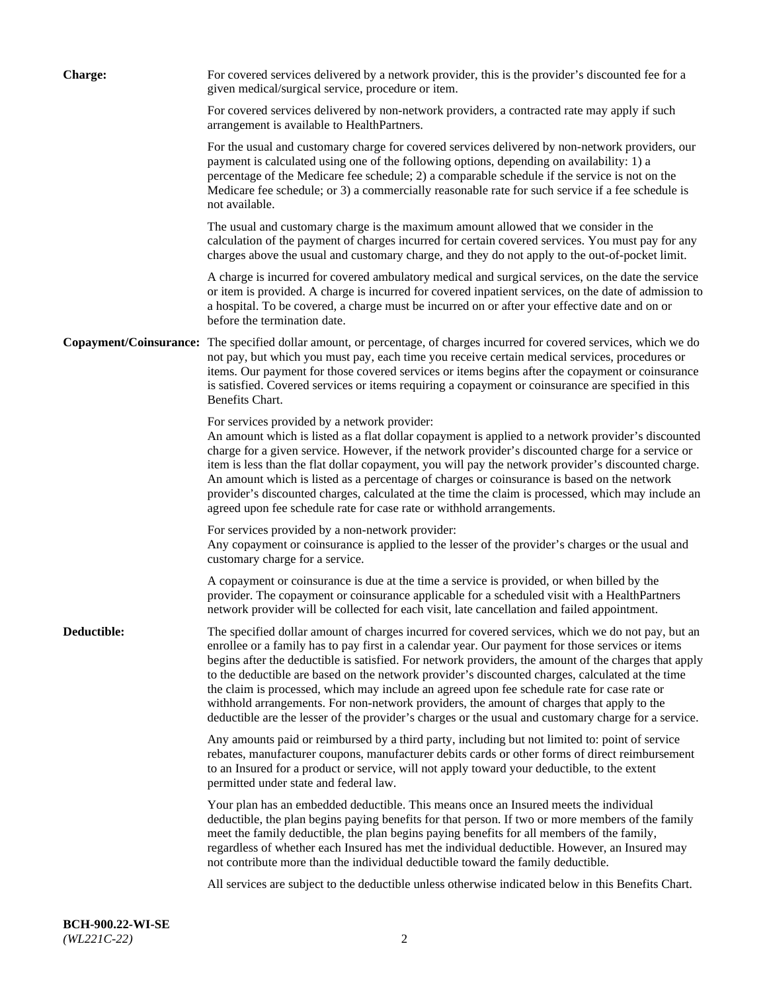| <b>Charge:</b> | For covered services delivered by a network provider, this is the provider's discounted fee for a<br>given medical/surgical service, procedure or item.                                                                                                                                                                                                                                                                                                                                                                                                                                                                                                                                                                 |
|----------------|-------------------------------------------------------------------------------------------------------------------------------------------------------------------------------------------------------------------------------------------------------------------------------------------------------------------------------------------------------------------------------------------------------------------------------------------------------------------------------------------------------------------------------------------------------------------------------------------------------------------------------------------------------------------------------------------------------------------------|
|                | For covered services delivered by non-network providers, a contracted rate may apply if such<br>arrangement is available to HealthPartners.                                                                                                                                                                                                                                                                                                                                                                                                                                                                                                                                                                             |
|                | For the usual and customary charge for covered services delivered by non-network providers, our<br>payment is calculated using one of the following options, depending on availability: 1) a<br>percentage of the Medicare fee schedule; 2) a comparable schedule if the service is not on the<br>Medicare fee schedule; or 3) a commercially reasonable rate for such service if a fee schedule is<br>not available.                                                                                                                                                                                                                                                                                                   |
|                | The usual and customary charge is the maximum amount allowed that we consider in the<br>calculation of the payment of charges incurred for certain covered services. You must pay for any<br>charges above the usual and customary charge, and they do not apply to the out-of-pocket limit.                                                                                                                                                                                                                                                                                                                                                                                                                            |
|                | A charge is incurred for covered ambulatory medical and surgical services, on the date the service<br>or item is provided. A charge is incurred for covered inpatient services, on the date of admission to<br>a hospital. To be covered, a charge must be incurred on or after your effective date and on or<br>before the termination date.                                                                                                                                                                                                                                                                                                                                                                           |
|                | Copayment/Coinsurance: The specified dollar amount, or percentage, of charges incurred for covered services, which we do<br>not pay, but which you must pay, each time you receive certain medical services, procedures or<br>items. Our payment for those covered services or items begins after the copayment or coinsurance<br>is satisfied. Covered services or items requiring a copayment or coinsurance are specified in this<br>Benefits Chart.                                                                                                                                                                                                                                                                 |
|                | For services provided by a network provider:<br>An amount which is listed as a flat dollar copayment is applied to a network provider's discounted<br>charge for a given service. However, if the network provider's discounted charge for a service or<br>item is less than the flat dollar copayment, you will pay the network provider's discounted charge.<br>An amount which is listed as a percentage of charges or coinsurance is based on the network<br>provider's discounted charges, calculated at the time the claim is processed, which may include an<br>agreed upon fee schedule rate for case rate or withhold arrangements.                                                                            |
|                | For services provided by a non-network provider:<br>Any copayment or coinsurance is applied to the lesser of the provider's charges or the usual and<br>customary charge for a service.                                                                                                                                                                                                                                                                                                                                                                                                                                                                                                                                 |
|                | A copayment or coinsurance is due at the time a service is provided, or when billed by the<br>provider. The copayment or coinsurance applicable for a scheduled visit with a HealthPartners<br>network provider will be collected for each visit, late cancellation and failed appointment.                                                                                                                                                                                                                                                                                                                                                                                                                             |
| Deductible:    | The specified dollar amount of charges incurred for covered services, which we do not pay, but an<br>enrollee or a family has to pay first in a calendar year. Our payment for those services or items<br>begins after the deductible is satisfied. For network providers, the amount of the charges that apply<br>to the deductible are based on the network provider's discounted charges, calculated at the time<br>the claim is processed, which may include an agreed upon fee schedule rate for case rate or<br>withhold arrangements. For non-network providers, the amount of charges that apply to the<br>deductible are the lesser of the provider's charges or the usual and customary charge for a service. |
|                | Any amounts paid or reimbursed by a third party, including but not limited to: point of service<br>rebates, manufacturer coupons, manufacturer debits cards or other forms of direct reimbursement<br>to an Insured for a product or service, will not apply toward your deductible, to the extent<br>permitted under state and federal law.                                                                                                                                                                                                                                                                                                                                                                            |
|                | Your plan has an embedded deductible. This means once an Insured meets the individual<br>deductible, the plan begins paying benefits for that person. If two or more members of the family<br>meet the family deductible, the plan begins paying benefits for all members of the family,<br>regardless of whether each Insured has met the individual deductible. However, an Insured may<br>not contribute more than the individual deductible toward the family deductible.                                                                                                                                                                                                                                           |
|                | All services are subject to the deductible unless otherwise indicated below in this Benefits Chart.                                                                                                                                                                                                                                                                                                                                                                                                                                                                                                                                                                                                                     |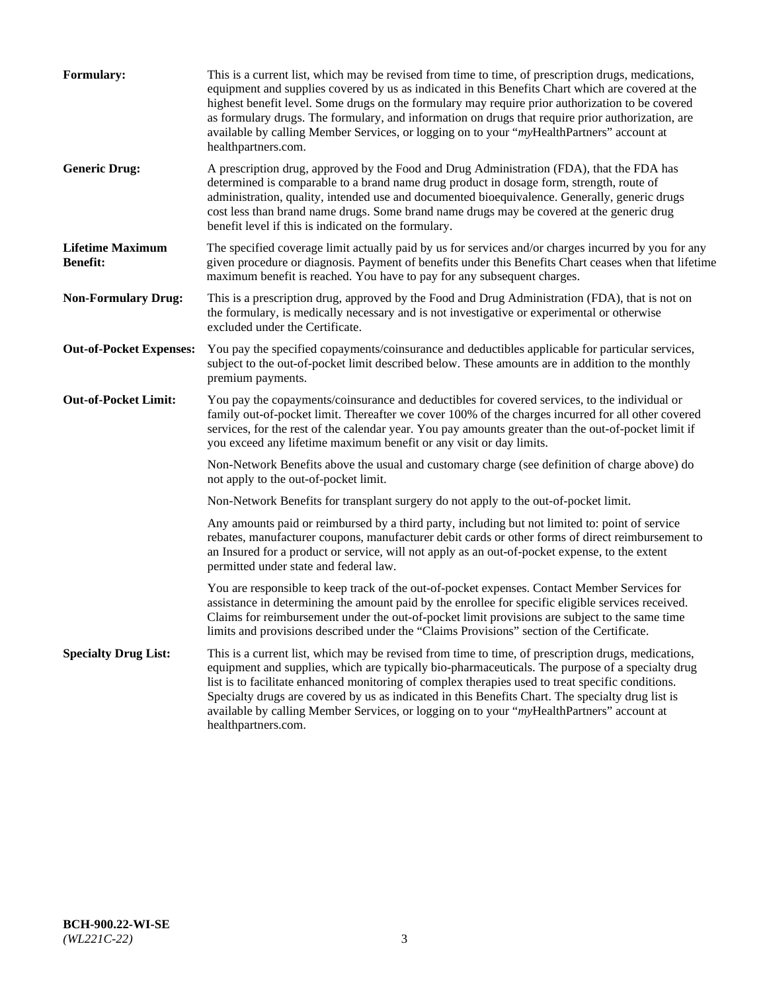| <b>Formulary:</b>                          | This is a current list, which may be revised from time to time, of prescription drugs, medications,<br>equipment and supplies covered by us as indicated in this Benefits Chart which are covered at the<br>highest benefit level. Some drugs on the formulary may require prior authorization to be covered<br>as formulary drugs. The formulary, and information on drugs that require prior authorization, are<br>available by calling Member Services, or logging on to your "myHealthPartners" account at<br>healthpartners.com. |
|--------------------------------------------|---------------------------------------------------------------------------------------------------------------------------------------------------------------------------------------------------------------------------------------------------------------------------------------------------------------------------------------------------------------------------------------------------------------------------------------------------------------------------------------------------------------------------------------|
| <b>Generic Drug:</b>                       | A prescription drug, approved by the Food and Drug Administration (FDA), that the FDA has<br>determined is comparable to a brand name drug product in dosage form, strength, route of<br>administration, quality, intended use and documented bioequivalence. Generally, generic drugs<br>cost less than brand name drugs. Some brand name drugs may be covered at the generic drug<br>benefit level if this is indicated on the formulary.                                                                                           |
| <b>Lifetime Maximum</b><br><b>Benefit:</b> | The specified coverage limit actually paid by us for services and/or charges incurred by you for any<br>given procedure or diagnosis. Payment of benefits under this Benefits Chart ceases when that lifetime<br>maximum benefit is reached. You have to pay for any subsequent charges.                                                                                                                                                                                                                                              |
| <b>Non-Formulary Drug:</b>                 | This is a prescription drug, approved by the Food and Drug Administration (FDA), that is not on<br>the formulary, is medically necessary and is not investigative or experimental or otherwise<br>excluded under the Certificate.                                                                                                                                                                                                                                                                                                     |
| <b>Out-of-Pocket Expenses:</b>             | You pay the specified copayments/coinsurance and deductibles applicable for particular services,<br>subject to the out-of-pocket limit described below. These amounts are in addition to the monthly<br>premium payments.                                                                                                                                                                                                                                                                                                             |
| <b>Out-of-Pocket Limit:</b>                | You pay the copayments/coinsurance and deductibles for covered services, to the individual or<br>family out-of-pocket limit. Thereafter we cover 100% of the charges incurred for all other covered<br>services, for the rest of the calendar year. You pay amounts greater than the out-of-pocket limit if<br>you exceed any lifetime maximum benefit or any visit or day limits.                                                                                                                                                    |
|                                            | Non-Network Benefits above the usual and customary charge (see definition of charge above) do<br>not apply to the out-of-pocket limit.                                                                                                                                                                                                                                                                                                                                                                                                |
|                                            | Non-Network Benefits for transplant surgery do not apply to the out-of-pocket limit.                                                                                                                                                                                                                                                                                                                                                                                                                                                  |
|                                            | Any amounts paid or reimbursed by a third party, including but not limited to: point of service<br>rebates, manufacturer coupons, manufacturer debit cards or other forms of direct reimbursement to<br>an Insured for a product or service, will not apply as an out-of-pocket expense, to the extent<br>permitted under state and federal law.                                                                                                                                                                                      |
|                                            | You are responsible to keep track of the out-of-pocket expenses. Contact Member Services for<br>assistance in determining the amount paid by the enrollee for specific eligible services received.<br>Claims for reimbursement under the out-of-pocket limit provisions are subject to the same time<br>limits and provisions described under the "Claims Provisions" section of the Certificate.                                                                                                                                     |
| <b>Specialty Drug List:</b>                | This is a current list, which may be revised from time to time, of prescription drugs, medications,<br>equipment and supplies, which are typically bio-pharmaceuticals. The purpose of a specialty drug<br>list is to facilitate enhanced monitoring of complex therapies used to treat specific conditions.<br>Specialty drugs are covered by us as indicated in this Benefits Chart. The specialty drug list is<br>available by calling Member Services, or logging on to your "myHealthPartners" account at<br>healthpartners.com. |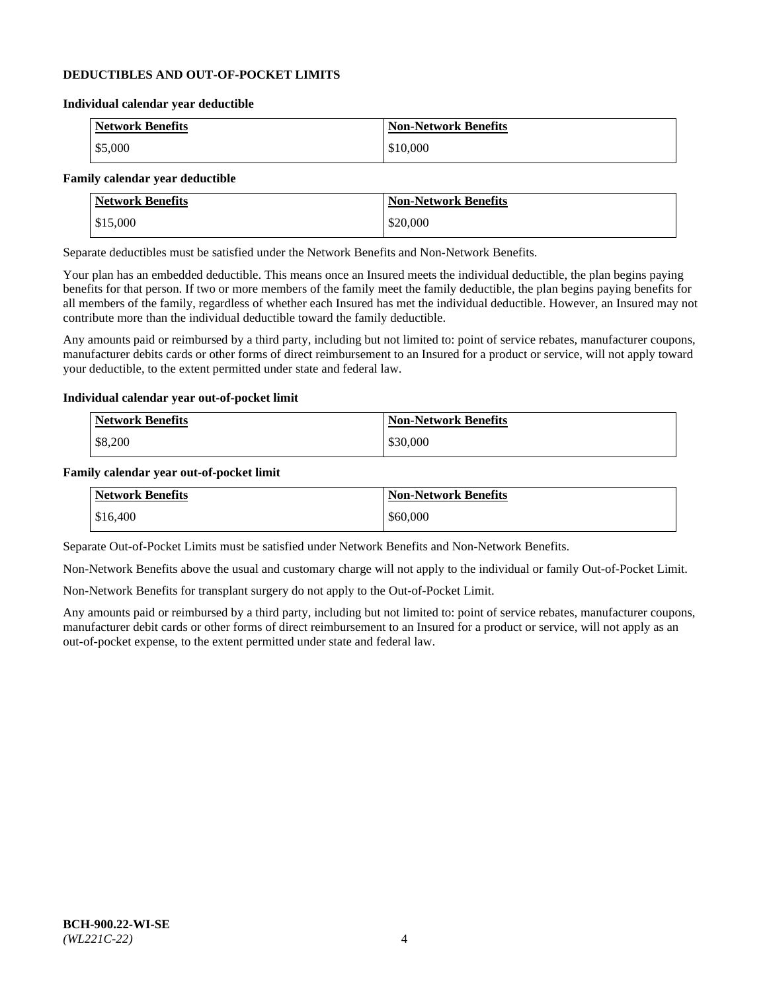#### **DEDUCTIBLES AND OUT-OF-POCKET LIMITS**

#### **Individual calendar year deductible**

| <b>Network Benefits</b> | <b>Non-Network Benefits</b> |
|-------------------------|-----------------------------|
| \$5,000                 | \$10,000                    |

#### **Family calendar year deductible**

| <b>Network Benefits</b> | <b>Non-Network Benefits</b> |
|-------------------------|-----------------------------|
| \$15,000                | \$20,000                    |

Separate deductibles must be satisfied under the Network Benefits and Non-Network Benefits.

Your plan has an embedded deductible. This means once an Insured meets the individual deductible, the plan begins paying benefits for that person. If two or more members of the family meet the family deductible, the plan begins paying benefits for all members of the family, regardless of whether each Insured has met the individual deductible. However, an Insured may not contribute more than the individual deductible toward the family deductible.

Any amounts paid or reimbursed by a third party, including but not limited to: point of service rebates, manufacturer coupons, manufacturer debits cards or other forms of direct reimbursement to an Insured for a product or service, will not apply toward your deductible, to the extent permitted under state and federal law.

#### **Individual calendar year out-of-pocket limit**

| Network Benefits | <b>Non-Network Benefits</b> |
|------------------|-----------------------------|
| \$8,200          | \$30,000                    |

#### **Family calendar year out-of-pocket limit**

| <b>Network Benefits</b> | <b>Non-Network Benefits</b> |
|-------------------------|-----------------------------|
| \$16,400                | \$60,000                    |

Separate Out-of-Pocket Limits must be satisfied under Network Benefits and Non-Network Benefits.

Non-Network Benefits above the usual and customary charge will not apply to the individual or family Out-of-Pocket Limit.

Non-Network Benefits for transplant surgery do not apply to the Out-of-Pocket Limit.

Any amounts paid or reimbursed by a third party, including but not limited to: point of service rebates, manufacturer coupons, manufacturer debit cards or other forms of direct reimbursement to an Insured for a product or service, will not apply as an out-of-pocket expense, to the extent permitted under state and federal law.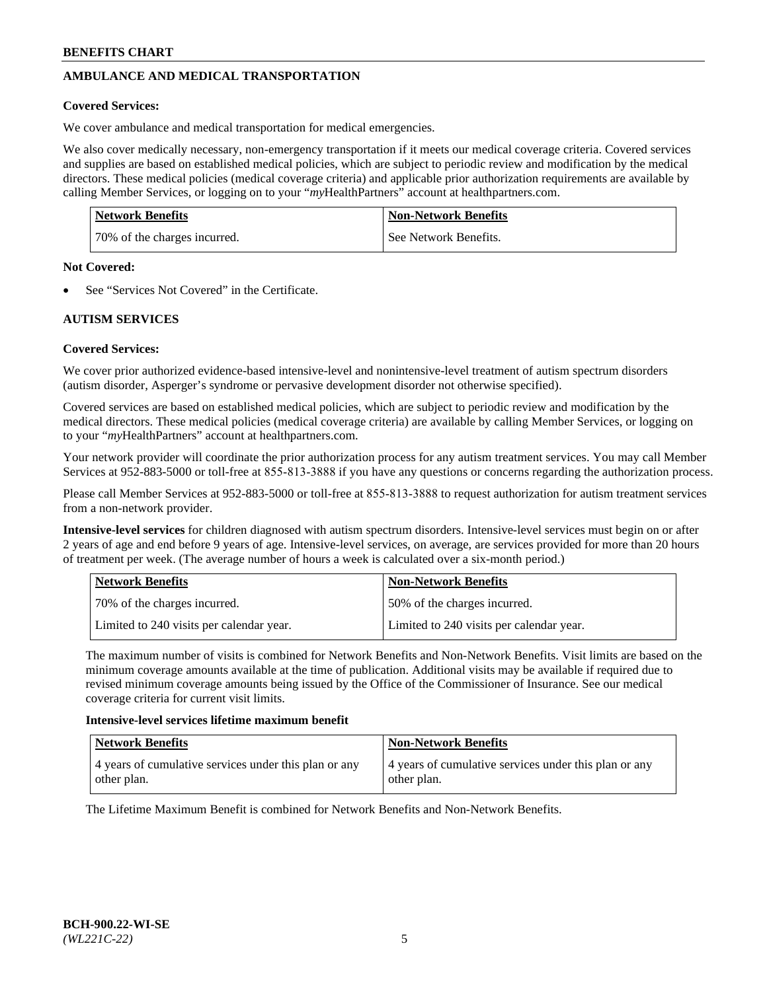# **AMBULANCE AND MEDICAL TRANSPORTATION**

#### **Covered Services:**

We cover ambulance and medical transportation for medical emergencies.

We also cover medically necessary, non-emergency transportation if it meets our medical coverage criteria. Covered services and supplies are based on established medical policies, which are subject to periodic review and modification by the medical directors. These medical policies (medical coverage criteria) and applicable prior authorization requirements are available by calling Member Services, or logging on to your "*my*HealthPartners" account a[t healthpartners.com.](https://www.healthpartners.com/hp/index.html)

| <b>Network Benefits</b>      | <b>Non-Network Benefits</b> |
|------------------------------|-----------------------------|
| 70% of the charges incurred. | See Network Benefits.       |

#### **Not Covered:**

See "Services Not Covered" in the Certificate.

# **AUTISM SERVICES**

## **Covered Services:**

We cover prior authorized evidence-based intensive-level and nonintensive-level treatment of autism spectrum disorders (autism disorder, Asperger's syndrome or pervasive development disorder not otherwise specified).

Covered services are based on established medical policies, which are subject to periodic review and modification by the medical directors. These medical policies (medical coverage criteria) are available by calling Member Services, or logging on to your "*my*HealthPartners" account at [healthpartners.com.](https://www.healthpartners.com/hp/index.html)

Your network provider will coordinate the prior authorization process for any autism treatment services. You may call Member Services at 952-883-5000 or toll-free at 855-813-3888 if you have any questions or concerns regarding the authorization process.

Please call Member Services at 952-883-5000 or toll-free at 855-813-3888 to request authorization for autism treatment services from a non-network provider.

**Intensive-level services** for children diagnosed with autism spectrum disorders. Intensive-level services must begin on or after 2 years of age and end before 9 years of age. Intensive-level services, on average, are services provided for more than 20 hours of treatment per week. (The average number of hours a week is calculated over a six-month period.)

| Network Benefits                         | <b>Non-Network Benefits</b>              |
|------------------------------------------|------------------------------------------|
| 70% of the charges incurred.             | 50% of the charges incurred.             |
| Limited to 240 visits per calendar year. | Limited to 240 visits per calendar year. |

The maximum number of visits is combined for Network Benefits and Non-Network Benefits. Visit limits are based on the minimum coverage amounts available at the time of publication. Additional visits may be available if required due to revised minimum coverage amounts being issued by the Office of the Commissioner of Insurance. See our medical coverage criteria for current visit limits.

#### **Intensive-level services lifetime maximum benefit**

| Network Benefits                                                     | <b>Non-Network Benefits</b>                                          |
|----------------------------------------------------------------------|----------------------------------------------------------------------|
| 4 years of cumulative services under this plan or any<br>other plan. | 4 years of cumulative services under this plan or any<br>other plan. |

The Lifetime Maximum Benefit is combined for Network Benefits and Non-Network Benefits.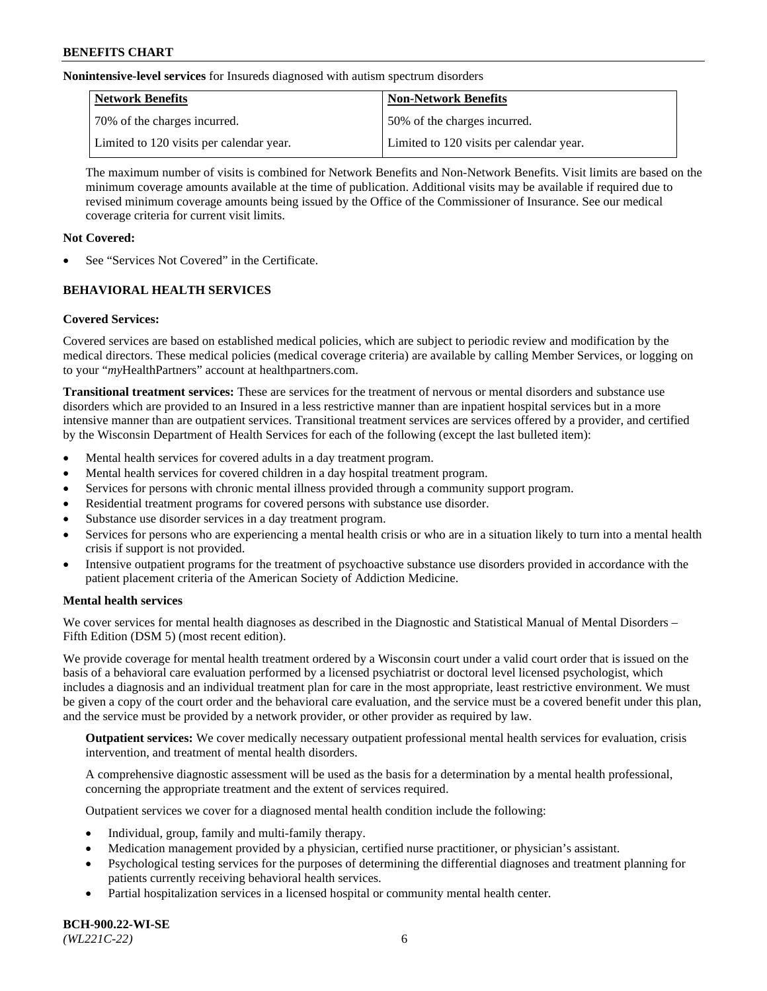**Nonintensive-level services** for Insureds diagnosed with autism spectrum disorders

| Network Benefits                         | <b>Non-Network Benefits</b>              |
|------------------------------------------|------------------------------------------|
| 70% of the charges incurred.             | 50% of the charges incurred.             |
| Limited to 120 visits per calendar year. | Limited to 120 visits per calendar year. |

The maximum number of visits is combined for Network Benefits and Non-Network Benefits. Visit limits are based on the minimum coverage amounts available at the time of publication. Additional visits may be available if required due to revised minimum coverage amounts being issued by the Office of the Commissioner of Insurance. See our medical coverage criteria for current visit limits.

## **Not Covered:**

See "Services Not Covered" in the Certificate.

# **BEHAVIORAL HEALTH SERVICES**

## **Covered Services:**

Covered services are based on established medical policies, which are subject to periodic review and modification by the medical directors. These medical policies (medical coverage criteria) are available by calling Member Services, or logging on to your "*my*HealthPartners" account at [healthpartners.com.](https://www.healthpartners.com/hp/index.html)

**Transitional treatment services:** These are services for the treatment of nervous or mental disorders and substance use disorders which are provided to an Insured in a less restrictive manner than are inpatient hospital services but in a more intensive manner than are outpatient services. Transitional treatment services are services offered by a provider, and certified by the Wisconsin Department of Health Services for each of the following (except the last bulleted item):

- Mental health services for covered adults in a day treatment program.
- Mental health services for covered children in a day hospital treatment program.
- Services for persons with chronic mental illness provided through a community support program.
- Residential treatment programs for covered persons with substance use disorder.
- Substance use disorder services in a day treatment program.
- Services for persons who are experiencing a mental health crisis or who are in a situation likely to turn into a mental health crisis if support is not provided.
- Intensive outpatient programs for the treatment of psychoactive substance use disorders provided in accordance with the patient placement criteria of the American Society of Addiction Medicine.

## **Mental health services**

We cover services for mental health diagnoses as described in the Diagnostic and Statistical Manual of Mental Disorders – Fifth Edition (DSM 5) (most recent edition).

We provide coverage for mental health treatment ordered by a Wisconsin court under a valid court order that is issued on the basis of a behavioral care evaluation performed by a licensed psychiatrist or doctoral level licensed psychologist, which includes a diagnosis and an individual treatment plan for care in the most appropriate, least restrictive environment. We must be given a copy of the court order and the behavioral care evaluation, and the service must be a covered benefit under this plan, and the service must be provided by a network provider, or other provider as required by law.

**Outpatient services:** We cover medically necessary outpatient professional mental health services for evaluation, crisis intervention, and treatment of mental health disorders.

A comprehensive diagnostic assessment will be used as the basis for a determination by a mental health professional, concerning the appropriate treatment and the extent of services required.

Outpatient services we cover for a diagnosed mental health condition include the following:

- Individual, group, family and multi-family therapy.
- Medication management provided by a physician, certified nurse practitioner, or physician's assistant.
- Psychological testing services for the purposes of determining the differential diagnoses and treatment planning for patients currently receiving behavioral health services.
- Partial hospitalization services in a licensed hospital or community mental health center.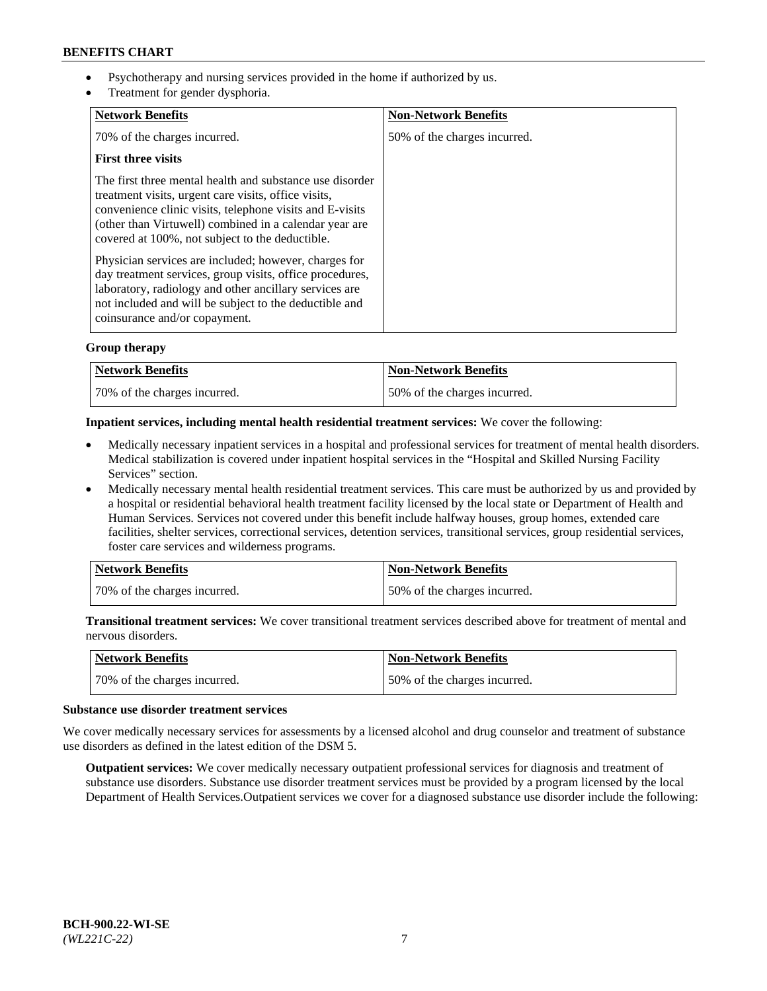- Psychotherapy and nursing services provided in the home if authorized by us.
- Treatment for gender dysphoria.

| <b>Network Benefits</b>                                                                                                                                                                                                                                                                   | <b>Non-Network Benefits</b>  |
|-------------------------------------------------------------------------------------------------------------------------------------------------------------------------------------------------------------------------------------------------------------------------------------------|------------------------------|
| 70% of the charges incurred.                                                                                                                                                                                                                                                              | 50% of the charges incurred. |
| <b>First three visits</b>                                                                                                                                                                                                                                                                 |                              |
| The first three mental health and substance use disorder<br>treatment visits, urgent care visits, office visits,<br>convenience clinic visits, telephone visits and E-visits<br>(other than Virtuwell) combined in a calendar year are<br>covered at 100%, not subject to the deductible. |                              |
| Physician services are included; however, charges for<br>day treatment services, group visits, office procedures,<br>laboratory, radiology and other ancillary services are<br>not included and will be subject to the deductible and<br>coinsurance and/or copayment.                    |                              |

## **Group therapy**

| Network Benefits             | <b>Non-Network Benefits</b>  |
|------------------------------|------------------------------|
| 70% of the charges incurred. | 50% of the charges incurred. |

#### **Inpatient services, including mental health residential treatment services:** We cover the following:

- Medically necessary inpatient services in a hospital and professional services for treatment of mental health disorders. Medical stabilization is covered under inpatient hospital services in the "Hospital and Skilled Nursing Facility Services" section.
- Medically necessary mental health residential treatment services. This care must be authorized by us and provided by a hospital or residential behavioral health treatment facility licensed by the local state or Department of Health and Human Services. Services not covered under this benefit include halfway houses, group homes, extended care facilities, shelter services, correctional services, detention services, transitional services, group residential services, foster care services and wilderness programs.

| Network Benefits             | <b>Non-Network Benefits</b>  |
|------------------------------|------------------------------|
| 70% of the charges incurred. | 50% of the charges incurred. |

**Transitional treatment services:** We cover transitional treatment services described above for treatment of mental and nervous disorders.

| Network Benefits             | <b>Non-Network Benefits</b>  |
|------------------------------|------------------------------|
| 70% of the charges incurred. | 50% of the charges incurred. |

#### **Substance use disorder treatment services**

We cover medically necessary services for assessments by a licensed alcohol and drug counselor and treatment of substance use disorders as defined in the latest edition of the DSM 5.

**Outpatient services:** We cover medically necessary outpatient professional services for diagnosis and treatment of substance use disorders. Substance use disorder treatment services must be provided by a program licensed by the local Department of Health Services.Outpatient services we cover for a diagnosed substance use disorder include the following: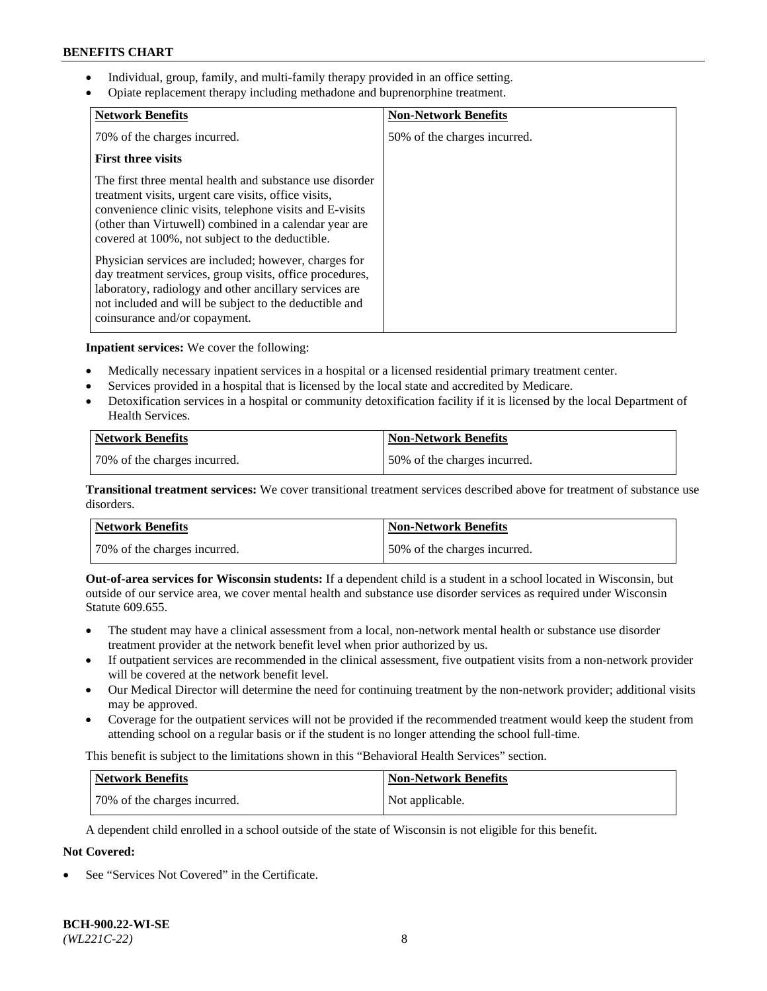- Individual, group, family, and multi-family therapy provided in an office setting.
- Opiate replacement therapy including methadone and buprenorphine treatment.

| <b>Network Benefits</b>                                                                                                                                                                                                                                                                   | <b>Non-Network Benefits</b>  |
|-------------------------------------------------------------------------------------------------------------------------------------------------------------------------------------------------------------------------------------------------------------------------------------------|------------------------------|
| 70% of the charges incurred.                                                                                                                                                                                                                                                              | 50% of the charges incurred. |
| <b>First three visits</b>                                                                                                                                                                                                                                                                 |                              |
| The first three mental health and substance use disorder<br>treatment visits, urgent care visits, office visits,<br>convenience clinic visits, telephone visits and E-visits<br>(other than Virtuwell) combined in a calendar year are<br>covered at 100%, not subject to the deductible. |                              |
| Physician services are included; however, charges for<br>day treatment services, group visits, office procedures,<br>laboratory, radiology and other ancillary services are<br>not included and will be subject to the deductible and<br>coinsurance and/or copayment.                    |                              |

**Inpatient services:** We cover the following:

- Medically necessary inpatient services in a hospital or a licensed residential primary treatment center.
- Services provided in a hospital that is licensed by the local state and accredited by Medicare.
- Detoxification services in a hospital or community detoxification facility if it is licensed by the local Department of Health Services.

| <b>Network Benefits</b>      | <b>Non-Network Benefits</b>  |
|------------------------------|------------------------------|
| 70% of the charges incurred. | 50% of the charges incurred. |

**Transitional treatment services:** We cover transitional treatment services described above for treatment of substance use disorders.

| Network Benefits             | <b>Non-Network Benefits</b>  |
|------------------------------|------------------------------|
| 70% of the charges incurred. | 50% of the charges incurred. |

**Out-of-area services for Wisconsin students:** If a dependent child is a student in a school located in Wisconsin, but outside of our service area, we cover mental health and substance use disorder services as required under Wisconsin Statute 609.655.

- The student may have a clinical assessment from a local, non-network mental health or substance use disorder treatment provider at the network benefit level when prior authorized by us.
- If outpatient services are recommended in the clinical assessment, five outpatient visits from a non-network provider will be covered at the network benefit level.
- Our Medical Director will determine the need for continuing treatment by the non-network provider; additional visits may be approved.
- Coverage for the outpatient services will not be provided if the recommended treatment would keep the student from attending school on a regular basis or if the student is no longer attending the school full-time.

This benefit is subject to the limitations shown in this "Behavioral Health Services" section.

| Network Benefits             | <b>Non-Network Benefits</b> |
|------------------------------|-----------------------------|
| 70% of the charges incurred. | Not applicable.             |

A dependent child enrolled in a school outside of the state of Wisconsin is not eligible for this benefit.

# **Not Covered:**

See "Services Not Covered" in the Certificate.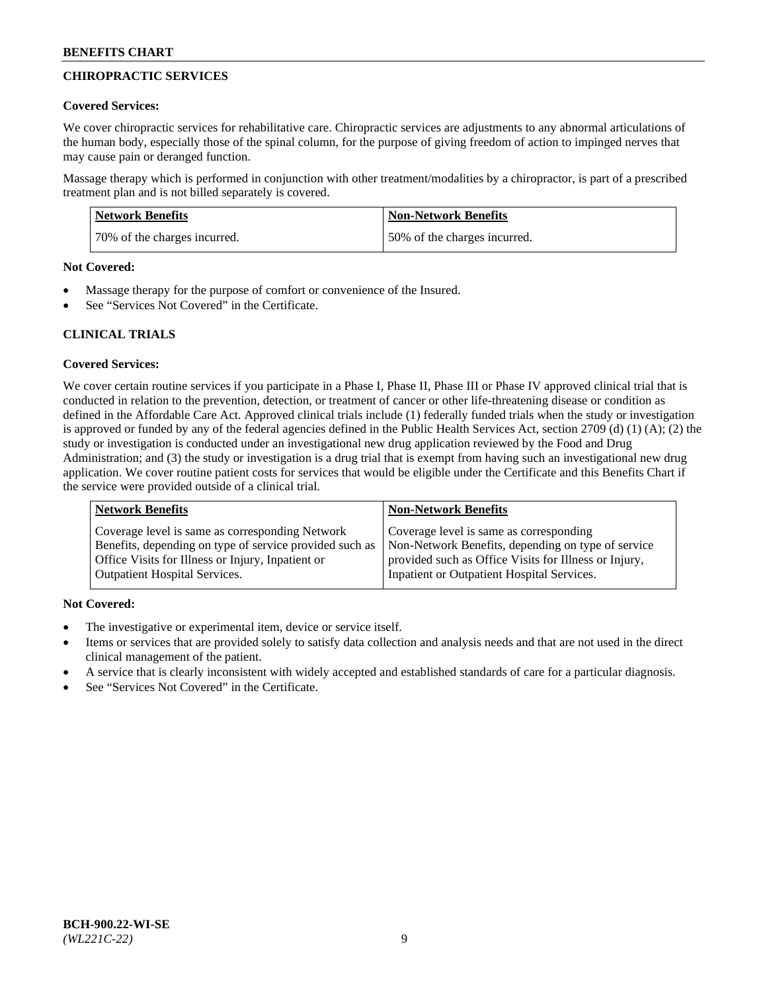# **CHIROPRACTIC SERVICES**

#### **Covered Services:**

We cover chiropractic services for rehabilitative care. Chiropractic services are adjustments to any abnormal articulations of the human body, especially those of the spinal column, for the purpose of giving freedom of action to impinged nerves that may cause pain or deranged function.

Massage therapy which is performed in conjunction with other treatment/modalities by a chiropractor, is part of a prescribed treatment plan and is not billed separately is covered.

| <b>Network Benefits</b>      | Non-Network Benefits         |
|------------------------------|------------------------------|
| 70% of the charges incurred. | 50% of the charges incurred. |

#### **Not Covered:**

- Massage therapy for the purpose of comfort or convenience of the Insured.
- See "Services Not Covered" in the Certificate.

# **CLINICAL TRIALS**

## **Covered Services:**

We cover certain routine services if you participate in a Phase I, Phase II, Phase III or Phase IV approved clinical trial that is conducted in relation to the prevention, detection, or treatment of cancer or other life-threatening disease or condition as defined in the Affordable Care Act. Approved clinical trials include (1) federally funded trials when the study or investigation is approved or funded by any of the federal agencies defined in the Public Health Services Act, section 2709 (d) (1) (A); (2) the study or investigation is conducted under an investigational new drug application reviewed by the Food and Drug Administration; and (3) the study or investigation is a drug trial that is exempt from having such an investigational new drug application. We cover routine patient costs for services that would be eligible under the Certificate and this Benefits Chart if the service were provided outside of a clinical trial.

| <b>Network Benefits</b>                                 | <b>Non-Network Benefits</b>                           |
|---------------------------------------------------------|-------------------------------------------------------|
| Coverage level is same as corresponding Network         | Coverage level is same as corresponding               |
| Benefits, depending on type of service provided such as | Non-Network Benefits, depending on type of service    |
| Office Visits for Illness or Injury, Inpatient or       | provided such as Office Visits for Illness or Injury, |
| <b>Outpatient Hospital Services.</b>                    | Inpatient or Outpatient Hospital Services.            |

## **Not Covered:**

- The investigative or experimental item, device or service itself.
- Items or services that are provided solely to satisfy data collection and analysis needs and that are not used in the direct clinical management of the patient.
- A service that is clearly inconsistent with widely accepted and established standards of care for a particular diagnosis.
- See "Services Not Covered" in the Certificate.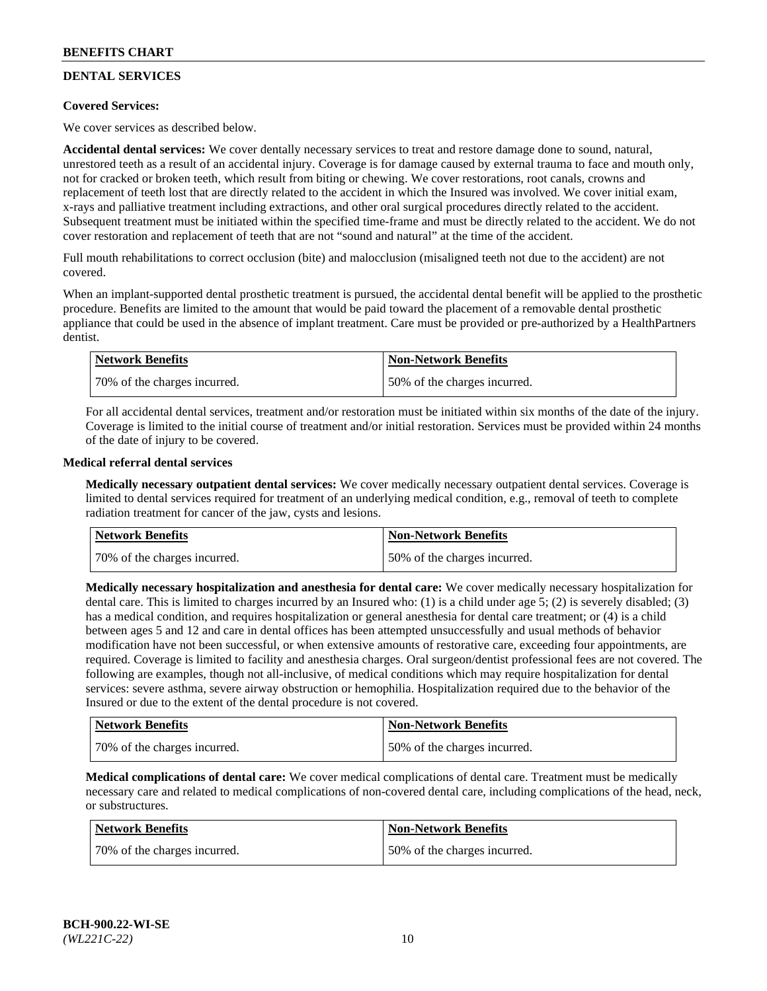# **DENTAL SERVICES**

## **Covered Services:**

We cover services as described below.

**Accidental dental services:** We cover dentally necessary services to treat and restore damage done to sound, natural, unrestored teeth as a result of an accidental injury. Coverage is for damage caused by external trauma to face and mouth only, not for cracked or broken teeth, which result from biting or chewing. We cover restorations, root canals, crowns and replacement of teeth lost that are directly related to the accident in which the Insured was involved. We cover initial exam, x-rays and palliative treatment including extractions, and other oral surgical procedures directly related to the accident. Subsequent treatment must be initiated within the specified time-frame and must be directly related to the accident. We do not cover restoration and replacement of teeth that are not "sound and natural" at the time of the accident.

Full mouth rehabilitations to correct occlusion (bite) and malocclusion (misaligned teeth not due to the accident) are not covered.

When an implant-supported dental prosthetic treatment is pursued, the accidental dental benefit will be applied to the prosthetic procedure. Benefits are limited to the amount that would be paid toward the placement of a removable dental prosthetic appliance that could be used in the absence of implant treatment. Care must be provided or pre-authorized by a HealthPartners dentist.

| <b>Network Benefits</b>       | <b>Non-Network Benefits</b>  |
|-------------------------------|------------------------------|
| 170% of the charges incurred. | 50% of the charges incurred. |

For all accidental dental services, treatment and/or restoration must be initiated within six months of the date of the injury. Coverage is limited to the initial course of treatment and/or initial restoration. Services must be provided within 24 months of the date of injury to be covered.

#### **Medical referral dental services**

**Medically necessary outpatient dental services:** We cover medically necessary outpatient dental services. Coverage is limited to dental services required for treatment of an underlying medical condition, e.g., removal of teeth to complete radiation treatment for cancer of the jaw, cysts and lesions.

| Network Benefits             | <b>Non-Network Benefits</b>  |
|------------------------------|------------------------------|
| 70% of the charges incurred. | 50% of the charges incurred. |

**Medically necessary hospitalization and anesthesia for dental care:** We cover medically necessary hospitalization for dental care. This is limited to charges incurred by an Insured who: (1) is a child under age  $5$ ; (2) is severely disabled; (3) has a medical condition, and requires hospitalization or general anesthesia for dental care treatment; or (4) is a child between ages 5 and 12 and care in dental offices has been attempted unsuccessfully and usual methods of behavior modification have not been successful, or when extensive amounts of restorative care, exceeding four appointments, are required. Coverage is limited to facility and anesthesia charges. Oral surgeon/dentist professional fees are not covered. The following are examples, though not all-inclusive, of medical conditions which may require hospitalization for dental services: severe asthma, severe airway obstruction or hemophilia. Hospitalization required due to the behavior of the Insured or due to the extent of the dental procedure is not covered.

| Network Benefits             | <b>Non-Network Benefits</b>  |
|------------------------------|------------------------------|
| 70% of the charges incurred. | 50% of the charges incurred. |

**Medical complications of dental care:** We cover medical complications of dental care. Treatment must be medically necessary care and related to medical complications of non-covered dental care, including complications of the head, neck, or substructures.

| Network Benefits             | <b>Non-Network Benefits</b>  |
|------------------------------|------------------------------|
| 70% of the charges incurred. | 50% of the charges incurred. |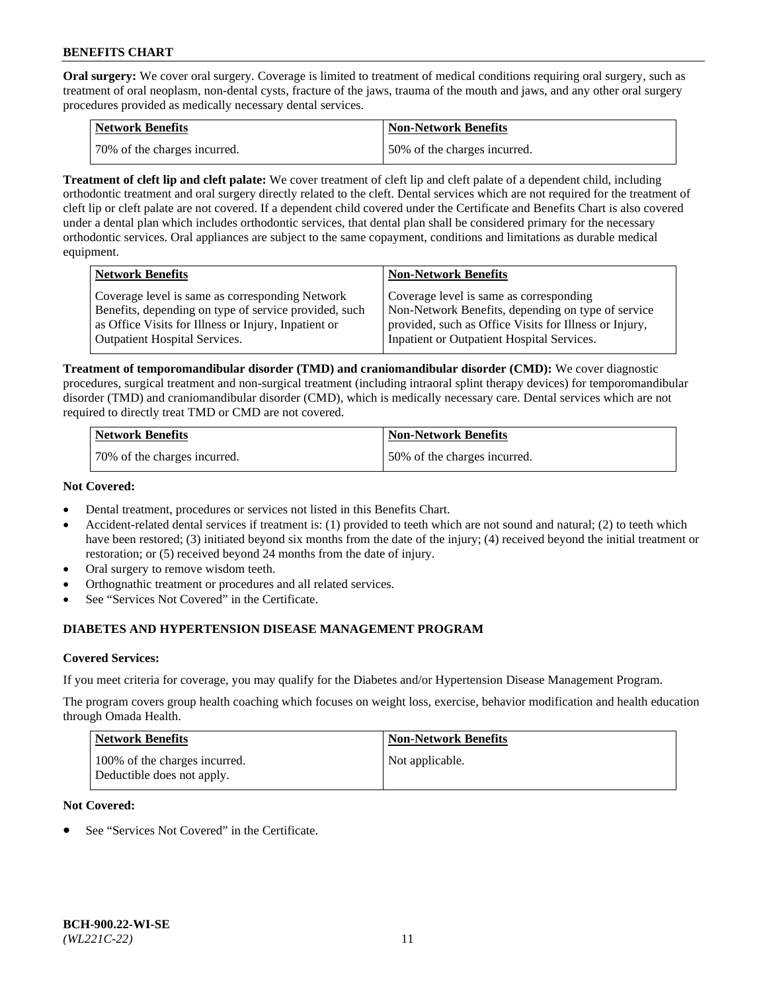**Oral surgery:** We cover oral surgery. Coverage is limited to treatment of medical conditions requiring oral surgery, such as treatment of oral neoplasm, non-dental cysts, fracture of the jaws, trauma of the mouth and jaws, and any other oral surgery procedures provided as medically necessary dental services.

| <b>Network Benefits</b>      | <b>Non-Network Benefits</b>  |
|------------------------------|------------------------------|
| 70% of the charges incurred. | 50% of the charges incurred. |

**Treatment of cleft lip and cleft palate:** We cover treatment of cleft lip and cleft palate of a dependent child, including orthodontic treatment and oral surgery directly related to the cleft. Dental services which are not required for the treatment of cleft lip or cleft palate are not covered. If a dependent child covered under the Certificate and Benefits Chart is also covered under a dental plan which includes orthodontic services, that dental plan shall be considered primary for the necessary orthodontic services. Oral appliances are subject to the same copayment, conditions and limitations as durable medical equipment.

| <b>Network Benefits</b>                               | <b>Non-Network Benefits</b>                            |
|-------------------------------------------------------|--------------------------------------------------------|
| Coverage level is same as corresponding Network       | Coverage level is same as corresponding                |
| Benefits, depending on type of service provided, such | Non-Network Benefits, depending on type of service     |
| as Office Visits for Illness or Injury, Inpatient or  | provided, such as Office Visits for Illness or Injury, |
| <b>Outpatient Hospital Services.</b>                  | Inpatient or Outpatient Hospital Services.             |

**Treatment of temporomandibular disorder (TMD) and craniomandibular disorder (CMD):** We cover diagnostic procedures, surgical treatment and non-surgical treatment (including intraoral splint therapy devices) for temporomandibular disorder (TMD) and craniomandibular disorder (CMD), which is medically necessary care. Dental services which are not required to directly treat TMD or CMD are not covered.

| <b>Network Benefits</b>      | <b>Non-Network Benefits</b>  |
|------------------------------|------------------------------|
| 70% of the charges incurred. | 50% of the charges incurred. |

#### **Not Covered:**

- Dental treatment, procedures or services not listed in this Benefits Chart.
- Accident-related dental services if treatment is: (1) provided to teeth which are not sound and natural; (2) to teeth which have been restored; (3) initiated beyond six months from the date of the injury; (4) received beyond the initial treatment or restoration; or (5) received beyond 24 months from the date of injury.
- Oral surgery to remove wisdom teeth.
- Orthognathic treatment or procedures and all related services.
- See "Services Not Covered" in the Certificate.

# **DIABETES AND HYPERTENSION DISEASE MANAGEMENT PROGRAM**

## **Covered Services:**

If you meet criteria for coverage, you may qualify for the Diabetes and/or Hypertension Disease Management Program.

The program covers group health coaching which focuses on weight loss, exercise, behavior modification and health education through Omada Health.

| <b>Network Benefits</b>                                     | <b>Non-Network Benefits</b> |
|-------------------------------------------------------------|-----------------------------|
| 100% of the charges incurred.<br>Deductible does not apply. | Not applicable.             |

## **Not Covered:**

See "Services Not Covered" in the Certificate.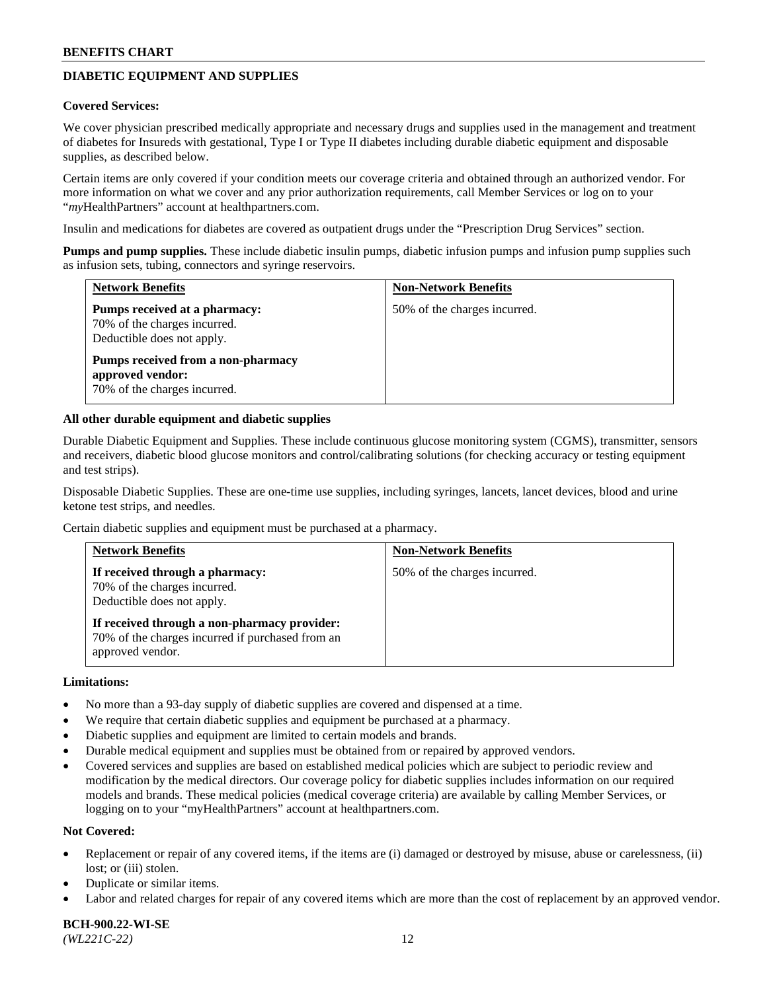# **DIABETIC EQUIPMENT AND SUPPLIES**

#### **Covered Services:**

We cover physician prescribed medically appropriate and necessary drugs and supplies used in the management and treatment of diabetes for Insureds with gestational, Type I or Type II diabetes including durable diabetic equipment and disposable supplies, as described below.

Certain items are only covered if your condition meets our coverage criteria and obtained through an authorized vendor. For more information on what we cover and any prior authorization requirements, call Member Services or log on to your "*my*HealthPartners" account at [healthpartners.com.](http://www.healthpartners.com/)

Insulin and medications for diabetes are covered as outpatient drugs under the "Prescription Drug Services" section.

**Pumps and pump supplies.** These include diabetic insulin pumps, diabetic infusion pumps and infusion pump supplies such as infusion sets, tubing, connectors and syringe reservoirs.

| <b>Network Benefits</b>                                                                     | <b>Non-Network Benefits</b>  |
|---------------------------------------------------------------------------------------------|------------------------------|
| Pumps received at a pharmacy:<br>70% of the charges incurred.<br>Deductible does not apply. | 50% of the charges incurred. |
| Pumps received from a non-pharmacy<br>approved vendor:<br>70% of the charges incurred.      |                              |

#### **All other durable equipment and diabetic supplies**

Durable Diabetic Equipment and Supplies. These include continuous glucose monitoring system (CGMS), transmitter, sensors and receivers, diabetic blood glucose monitors and control/calibrating solutions (for checking accuracy or testing equipment and test strips).

Disposable Diabetic Supplies. These are one-time use supplies, including syringes, lancets, lancet devices, blood and urine ketone test strips, and needles.

Certain diabetic supplies and equipment must be purchased at a pharmacy.

| <b>Network Benefits</b>                                                                                              | <b>Non-Network Benefits</b>  |
|----------------------------------------------------------------------------------------------------------------------|------------------------------|
| If received through a pharmacy:<br>70% of the charges incurred.<br>Deductible does not apply.                        | 50% of the charges incurred. |
| If received through a non-pharmacy provider:<br>70% of the charges incurred if purchased from an<br>approved vendor. |                              |

#### **Limitations:**

- No more than a 93-day supply of diabetic supplies are covered and dispensed at a time.
- We require that certain diabetic supplies and equipment be purchased at a pharmacy.
- Diabetic supplies and equipment are limited to certain models and brands.
- Durable medical equipment and supplies must be obtained from or repaired by approved vendors.
- Covered services and supplies are based on established medical policies which are subject to periodic review and modification by the medical directors. Our coverage policy for diabetic supplies includes information on our required models and brands. These medical policies (medical coverage criteria) are available by calling Member Services, or logging on to your "myHealthPartners" account at [healthpartners.com.](http://www.healthpartners.com/)

#### **Not Covered:**

- Replacement or repair of any covered items, if the items are (i) damaged or destroyed by misuse, abuse or carelessness, (ii) lost; or (iii) stolen.
- Duplicate or similar items.
- Labor and related charges for repair of any covered items which are more than the cost of replacement by an approved vendor.

**BCH-900.22-WI-SE**  *(WL221C-22)* 12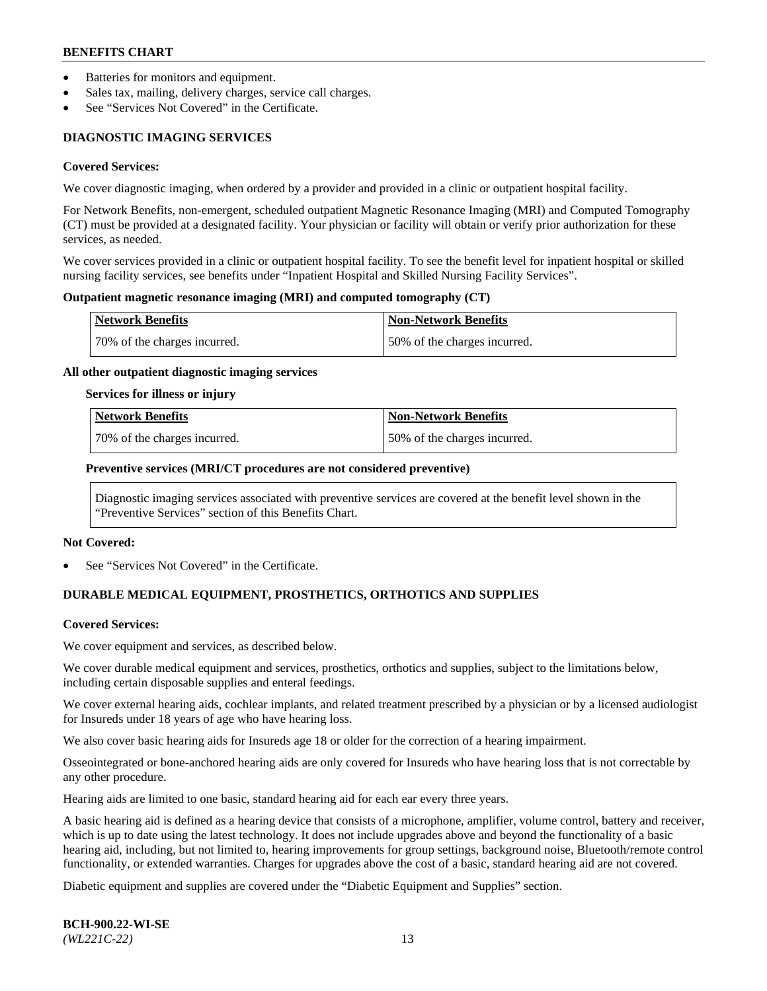- Batteries for monitors and equipment.
- Sales tax, mailing, delivery charges, service call charges.
- See "Services Not Covered" in the Certificate.

# **DIAGNOSTIC IMAGING SERVICES**

#### **Covered Services:**

We cover diagnostic imaging, when ordered by a provider and provided in a clinic or outpatient hospital facility.

For Network Benefits, non-emergent, scheduled outpatient Magnetic Resonance Imaging (MRI) and Computed Tomography (CT) must be provided at a designated facility. Your physician or facility will obtain or verify prior authorization for these services, as needed.

We cover services provided in a clinic or outpatient hospital facility. To see the benefit level for inpatient hospital or skilled nursing facility services, see benefits under "Inpatient Hospital and Skilled Nursing Facility Services".

#### **Outpatient magnetic resonance imaging (MRI) and computed tomography (CT)**

| <b>Network Benefits</b>      | <b>Non-Network Benefits</b>   |
|------------------------------|-------------------------------|
| 70% of the charges incurred. | 150% of the charges incurred. |

#### **All other outpatient diagnostic imaging services**

#### **Services for illness or injury**

| Network Benefits             | <b>Non-Network Benefits</b>  |
|------------------------------|------------------------------|
| 70% of the charges incurred. | 50% of the charges incurred. |

#### **Preventive services (MRI/CT procedures are not considered preventive)**

Diagnostic imaging services associated with preventive services are covered at the benefit level shown in the "Preventive Services" section of this Benefits Chart.

#### **Not Covered:**

See "Services Not Covered" in the Certificate.

# **DURABLE MEDICAL EQUIPMENT, PROSTHETICS, ORTHOTICS AND SUPPLIES**

#### **Covered Services:**

We cover equipment and services, as described below.

We cover durable medical equipment and services, prosthetics, orthotics and supplies, subject to the limitations below, including certain disposable supplies and enteral feedings.

We cover external hearing aids, cochlear implants, and related treatment prescribed by a physician or by a licensed audiologist for Insureds under 18 years of age who have hearing loss.

We also cover basic hearing aids for Insureds age 18 or older for the correction of a hearing impairment.

Osseointegrated or bone-anchored hearing aids are only covered for Insureds who have hearing loss that is not correctable by any other procedure.

Hearing aids are limited to one basic, standard hearing aid for each ear every three years.

A basic hearing aid is defined as a hearing device that consists of a microphone, amplifier, volume control, battery and receiver, which is up to date using the latest technology. It does not include upgrades above and beyond the functionality of a basic hearing aid, including, but not limited to, hearing improvements for group settings, background noise, Bluetooth/remote control functionality, or extended warranties. Charges for upgrades above the cost of a basic, standard hearing aid are not covered.

Diabetic equipment and supplies are covered under the "Diabetic Equipment and Supplies" section.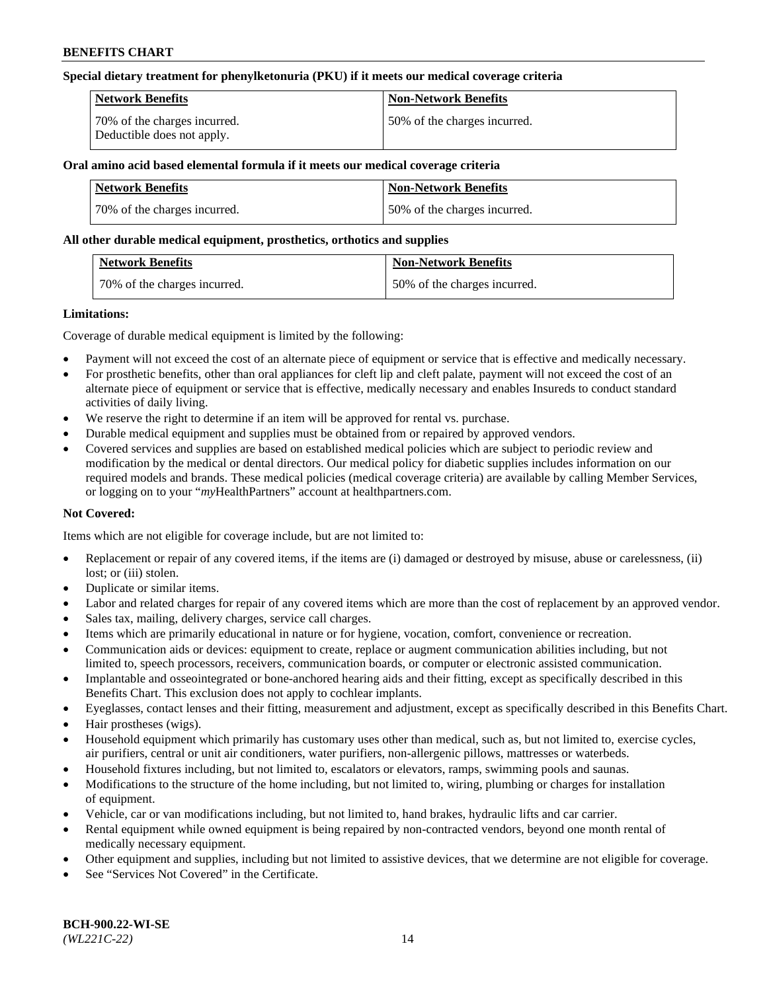#### **Special dietary treatment for phenylketonuria (PKU) if it meets our medical coverage criteria**

| Network Benefits                                           | <b>Non-Network Benefits</b>  |
|------------------------------------------------------------|------------------------------|
| 70% of the charges incurred.<br>Deductible does not apply. | 50% of the charges incurred. |

## **Oral amino acid based elemental formula if it meets our medical coverage criteria**

| Network Benefits             | <b>Non-Network Benefits</b>  |
|------------------------------|------------------------------|
| 70% of the charges incurred. | 50% of the charges incurred. |

#### **All other durable medical equipment, prosthetics, orthotics and supplies**

| <b>Network Benefits</b>      | <b>Non-Network Benefits</b>  |
|------------------------------|------------------------------|
| 70% of the charges incurred. | 50% of the charges incurred. |

#### **Limitations:**

Coverage of durable medical equipment is limited by the following:

- Payment will not exceed the cost of an alternate piece of equipment or service that is effective and medically necessary.
- For prosthetic benefits, other than oral appliances for cleft lip and cleft palate, payment will not exceed the cost of an alternate piece of equipment or service that is effective, medically necessary and enables Insureds to conduct standard activities of daily living.
- We reserve the right to determine if an item will be approved for rental vs. purchase.
- Durable medical equipment and supplies must be obtained from or repaired by approved vendors.
- Covered services and supplies are based on established medical policies which are subject to periodic review and modification by the medical or dental directors. Our medical policy for diabetic supplies includes information on our required models and brands. These medical policies (medical coverage criteria) are available by calling Member Services, or logging on to your "*my*HealthPartners" account a[t healthpartners.com.](http://www.healthpartners.com/)

## **Not Covered:**

Items which are not eligible for coverage include, but are not limited to:

- Replacement or repair of any covered items, if the items are (i) damaged or destroyed by misuse, abuse or carelessness, (ii) lost; or (iii) stolen.
- Duplicate or similar items.
- Labor and related charges for repair of any covered items which are more than the cost of replacement by an approved vendor.
- Sales tax, mailing, delivery charges, service call charges.
- Items which are primarily educational in nature or for hygiene, vocation, comfort, convenience or recreation.
- Communication aids or devices: equipment to create, replace or augment communication abilities including, but not limited to, speech processors, receivers, communication boards, or computer or electronic assisted communication.
- Implantable and osseointegrated or bone-anchored hearing aids and their fitting, except as specifically described in this Benefits Chart. This exclusion does not apply to cochlear implants.
- Eyeglasses, contact lenses and their fitting, measurement and adjustment, except as specifically described in this Benefits Chart.
- Hair prostheses (wigs).
- Household equipment which primarily has customary uses other than medical, such as, but not limited to, exercise cycles, air purifiers, central or unit air conditioners, water purifiers, non-allergenic pillows, mattresses or waterbeds.
- Household fixtures including, but not limited to, escalators or elevators, ramps, swimming pools and saunas.
- Modifications to the structure of the home including, but not limited to, wiring, plumbing or charges for installation of equipment.
- Vehicle, car or van modifications including, but not limited to, hand brakes, hydraulic lifts and car carrier.
- Rental equipment while owned equipment is being repaired by non-contracted vendors, beyond one month rental of medically necessary equipment.
- Other equipment and supplies, including but not limited to assistive devices, that we determine are not eligible for coverage.
- See "Services Not Covered" in the Certificate.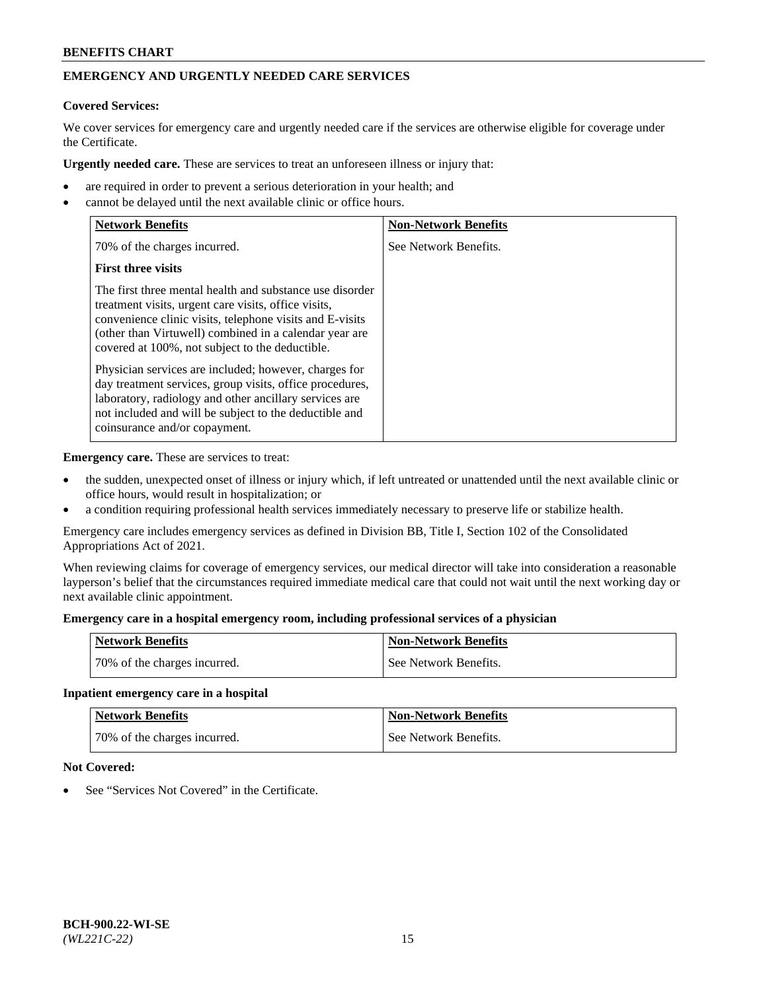# **EMERGENCY AND URGENTLY NEEDED CARE SERVICES**

# **Covered Services:**

We cover services for emergency care and urgently needed care if the services are otherwise eligible for coverage under the Certificate.

**Urgently needed care.** These are services to treat an unforeseen illness or injury that:

- are required in order to prevent a serious deterioration in your health; and
- cannot be delayed until the next available clinic or office hours.

| <b>Network Benefits</b>                                                                                                                                                                                                                                                                   | <b>Non-Network Benefits</b> |
|-------------------------------------------------------------------------------------------------------------------------------------------------------------------------------------------------------------------------------------------------------------------------------------------|-----------------------------|
| 70% of the charges incurred.                                                                                                                                                                                                                                                              | See Network Benefits.       |
| <b>First three visits</b>                                                                                                                                                                                                                                                                 |                             |
| The first three mental health and substance use disorder<br>treatment visits, urgent care visits, office visits,<br>convenience clinic visits, telephone visits and E-visits<br>(other than Virtuwell) combined in a calendar year are<br>covered at 100%, not subject to the deductible. |                             |
| Physician services are included; however, charges for<br>day treatment services, group visits, office procedures,<br>laboratory, radiology and other ancillary services are<br>not included and will be subject to the deductible and<br>coinsurance and/or copayment.                    |                             |

**Emergency care.** These are services to treat:

- the sudden, unexpected onset of illness or injury which, if left untreated or unattended until the next available clinic or office hours, would result in hospitalization; or
- a condition requiring professional health services immediately necessary to preserve life or stabilize health.

Emergency care includes emergency services as defined in Division BB, Title I, Section 102 of the Consolidated Appropriations Act of 2021.

When reviewing claims for coverage of emergency services, our medical director will take into consideration a reasonable layperson's belief that the circumstances required immediate medical care that could not wait until the next working day or next available clinic appointment.

#### **Emergency care in a hospital emergency room, including professional services of a physician**

| <b>Network Benefits</b>      | <b>Non-Network Benefits</b> |
|------------------------------|-----------------------------|
| 70% of the charges incurred. | See Network Benefits.       |

#### **Inpatient emergency care in a hospital**

| <b>Network Benefits</b>      | Non-Network Benefits  |
|------------------------------|-----------------------|
| 70% of the charges incurred. | See Network Benefits. |

## **Not Covered:**

See "Services Not Covered" in the Certificate.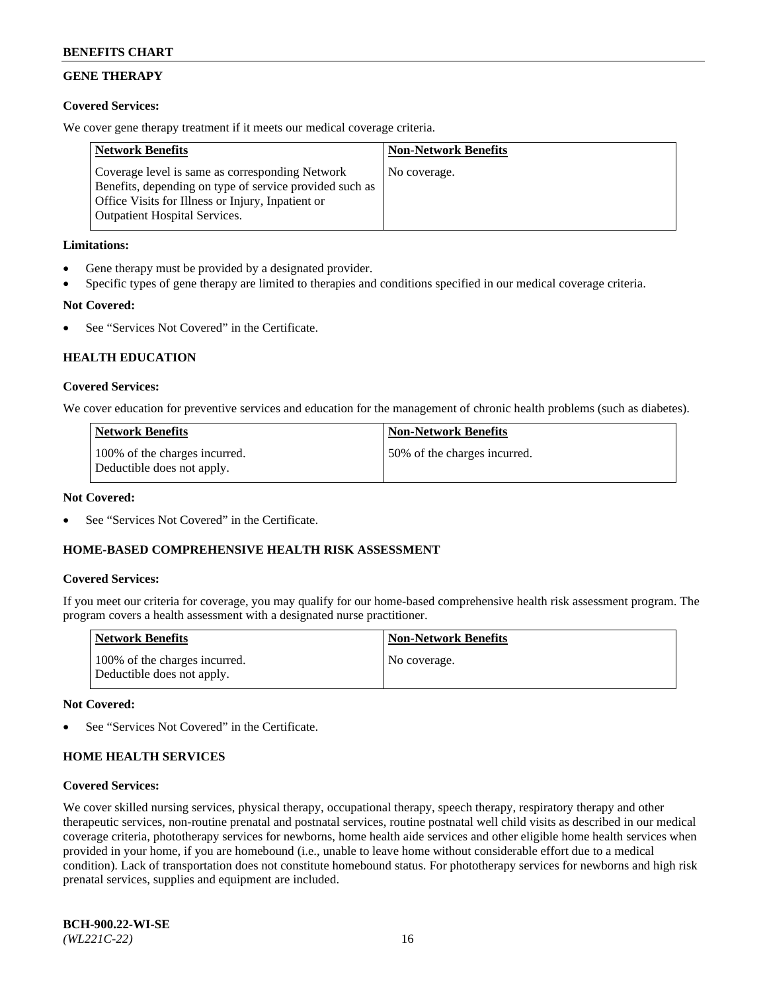# **GENE THERAPY**

## **Covered Services:**

We cover gene therapy treatment if it meets our medical coverage criteria.

| <b>Network Benefits</b>                                                                                                                                                                                 | <b>Non-Network Benefits</b> |
|---------------------------------------------------------------------------------------------------------------------------------------------------------------------------------------------------------|-----------------------------|
| Coverage level is same as corresponding Network<br>Benefits, depending on type of service provided such as<br>Office Visits for Illness or Injury, Inpatient or<br><b>Outpatient Hospital Services.</b> | No coverage.                |

## **Limitations:**

- Gene therapy must be provided by a designated provider.
- Specific types of gene therapy are limited to therapies and conditions specified in our medical coverage criteria.

# **Not Covered:**

See "Services Not Covered" in the Certificate.

# **HEALTH EDUCATION**

## **Covered Services:**

We cover education for preventive services and education for the management of chronic health problems (such as diabetes).

| <b>Network Benefits</b>                                     | <b>Non-Network Benefits</b>  |
|-------------------------------------------------------------|------------------------------|
| 100% of the charges incurred.<br>Deductible does not apply. | 50% of the charges incurred. |

#### **Not Covered:**

See "Services Not Covered" in the Certificate.

## **HOME-BASED COMPREHENSIVE HEALTH RISK ASSESSMENT**

## **Covered Services:**

If you meet our criteria for coverage, you may qualify for our home-based comprehensive health risk assessment program. The program covers a health assessment with a designated nurse practitioner.

| <b>Network Benefits</b>                                     | <b>Non-Network Benefits</b> |
|-------------------------------------------------------------|-----------------------------|
| 100% of the charges incurred.<br>Deductible does not apply. | No coverage.                |

## **Not Covered:**

See "Services Not Covered" in the Certificate.

## **HOME HEALTH SERVICES**

#### **Covered Services:**

We cover skilled nursing services, physical therapy, occupational therapy, speech therapy, respiratory therapy and other therapeutic services, non-routine prenatal and postnatal services, routine postnatal well child visits as described in our medical coverage criteria, phototherapy services for newborns, home health aide services and other eligible home health services when provided in your home, if you are homebound (i.e., unable to leave home without considerable effort due to a medical condition). Lack of transportation does not constitute homebound status. For phototherapy services for newborns and high risk prenatal services, supplies and equipment are included.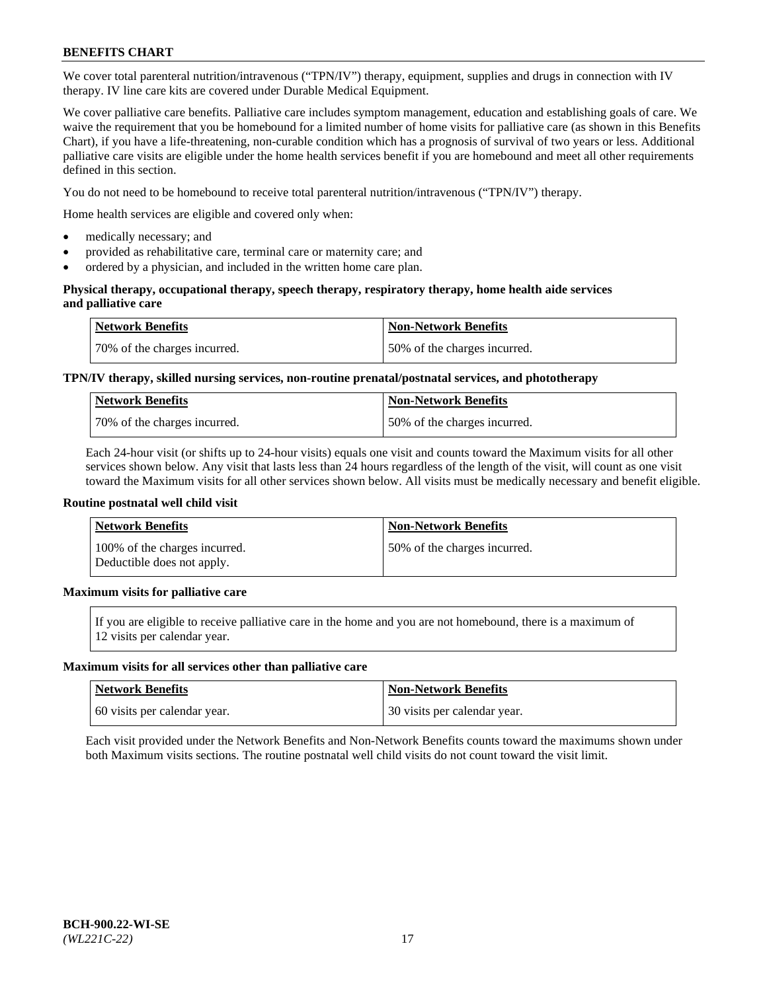We cover total parenteral nutrition/intravenous ("TPN/IV") therapy, equipment, supplies and drugs in connection with IV therapy. IV line care kits are covered under Durable Medical Equipment.

We cover palliative care benefits. Palliative care includes symptom management, education and establishing goals of care. We waive the requirement that you be homebound for a limited number of home visits for palliative care (as shown in this Benefits Chart), if you have a life-threatening, non-curable condition which has a prognosis of survival of two years or less. Additional palliative care visits are eligible under the home health services benefit if you are homebound and meet all other requirements defined in this section.

You do not need to be homebound to receive total parenteral nutrition/intravenous ("TPN/IV") therapy.

Home health services are eligible and covered only when:

- medically necessary; and
- provided as rehabilitative care, terminal care or maternity care; and
- ordered by a physician, and included in the written home care plan.

#### **Physical therapy, occupational therapy, speech therapy, respiratory therapy, home health aide services and palliative care**

| <b>Network Benefits</b>      | <b>Non-Network Benefits</b>  |
|------------------------------|------------------------------|
| 70% of the charges incurred. | 50% of the charges incurred. |

# **TPN/IV therapy, skilled nursing services, non-routine prenatal/postnatal services, and phototherapy**

| <b>Network Benefits</b>       | Non-Network Benefits         |
|-------------------------------|------------------------------|
| 170% of the charges incurred. | 50% of the charges incurred. |

Each 24-hour visit (or shifts up to 24-hour visits) equals one visit and counts toward the Maximum visits for all other services shown below. Any visit that lasts less than 24 hours regardless of the length of the visit, will count as one visit toward the Maximum visits for all other services shown below. All visits must be medically necessary and benefit eligible.

#### **Routine postnatal well child visit**

| <b>Network Benefits</b>                                     | <b>Non-Network Benefits</b>  |
|-------------------------------------------------------------|------------------------------|
| 100% of the charges incurred.<br>Deductible does not apply. | 50% of the charges incurred. |

# **Maximum visits for palliative care**

If you are eligible to receive palliative care in the home and you are not homebound, there is a maximum of 12 visits per calendar year.

#### **Maximum visits for all services other than palliative care**

| Network Benefits             | <b>Non-Network Benefits</b>  |
|------------------------------|------------------------------|
| 60 visits per calendar year. | 30 visits per calendar year. |

Each visit provided under the Network Benefits and Non-Network Benefits counts toward the maximums shown under both Maximum visits sections. The routine postnatal well child visits do not count toward the visit limit.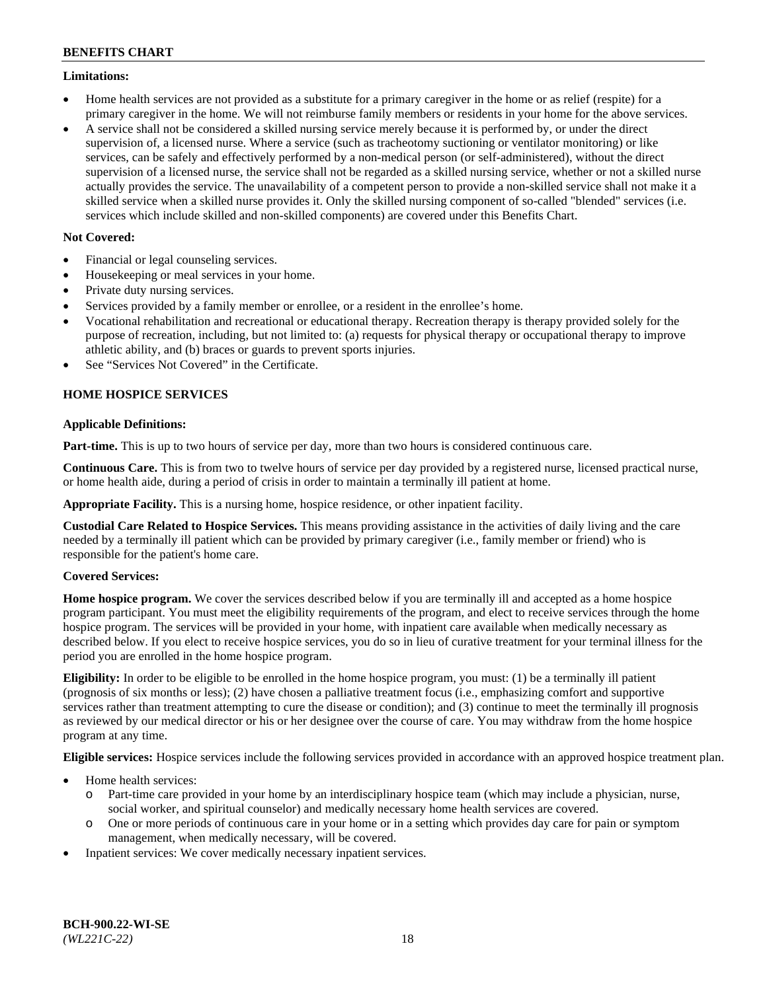#### **Limitations:**

- Home health services are not provided as a substitute for a primary caregiver in the home or as relief (respite) for a primary caregiver in the home. We will not reimburse family members or residents in your home for the above services.
- A service shall not be considered a skilled nursing service merely because it is performed by, or under the direct supervision of, a licensed nurse. Where a service (such as tracheotomy suctioning or ventilator monitoring) or like services, can be safely and effectively performed by a non-medical person (or self-administered), without the direct supervision of a licensed nurse, the service shall not be regarded as a skilled nursing service, whether or not a skilled nurse actually provides the service. The unavailability of a competent person to provide a non-skilled service shall not make it a skilled service when a skilled nurse provides it. Only the skilled nursing component of so-called "blended" services (i.e. services which include skilled and non-skilled components) are covered under this Benefits Chart.

## **Not Covered:**

- Financial or legal counseling services.
- Housekeeping or meal services in your home.
- Private duty nursing services.
- Services provided by a family member or enrollee, or a resident in the enrollee's home.
- Vocational rehabilitation and recreational or educational therapy. Recreation therapy is therapy provided solely for the purpose of recreation, including, but not limited to: (a) requests for physical therapy or occupational therapy to improve athletic ability, and (b) braces or guards to prevent sports injuries.
- See "Services Not Covered" in the Certificate.

# **HOME HOSPICE SERVICES**

## **Applicable Definitions:**

**Part-time.** This is up to two hours of service per day, more than two hours is considered continuous care.

**Continuous Care.** This is from two to twelve hours of service per day provided by a registered nurse, licensed practical nurse, or home health aide, during a period of crisis in order to maintain a terminally ill patient at home.

**Appropriate Facility.** This is a nursing home, hospice residence, or other inpatient facility.

**Custodial Care Related to Hospice Services.** This means providing assistance in the activities of daily living and the care needed by a terminally ill patient which can be provided by primary caregiver (i.e., family member or friend) who is responsible for the patient's home care.

## **Covered Services:**

**Home hospice program.** We cover the services described below if you are terminally ill and accepted as a home hospice program participant. You must meet the eligibility requirements of the program, and elect to receive services through the home hospice program. The services will be provided in your home, with inpatient care available when medically necessary as described below. If you elect to receive hospice services, you do so in lieu of curative treatment for your terminal illness for the period you are enrolled in the home hospice program.

**Eligibility:** In order to be eligible to be enrolled in the home hospice program, you must: (1) be a terminally ill patient (prognosis of six months or less); (2) have chosen a palliative treatment focus (i.e., emphasizing comfort and supportive services rather than treatment attempting to cure the disease or condition); and (3) continue to meet the terminally ill prognosis as reviewed by our medical director or his or her designee over the course of care. You may withdraw from the home hospice program at any time.

**Eligible services:** Hospice services include the following services provided in accordance with an approved hospice treatment plan.

- Home health services:
	- o Part-time care provided in your home by an interdisciplinary hospice team (which may include a physician, nurse, social worker, and spiritual counselor) and medically necessary home health services are covered.
	- o One or more periods of continuous care in your home or in a setting which provides day care for pain or symptom management, when medically necessary, will be covered.
- Inpatient services: We cover medically necessary inpatient services.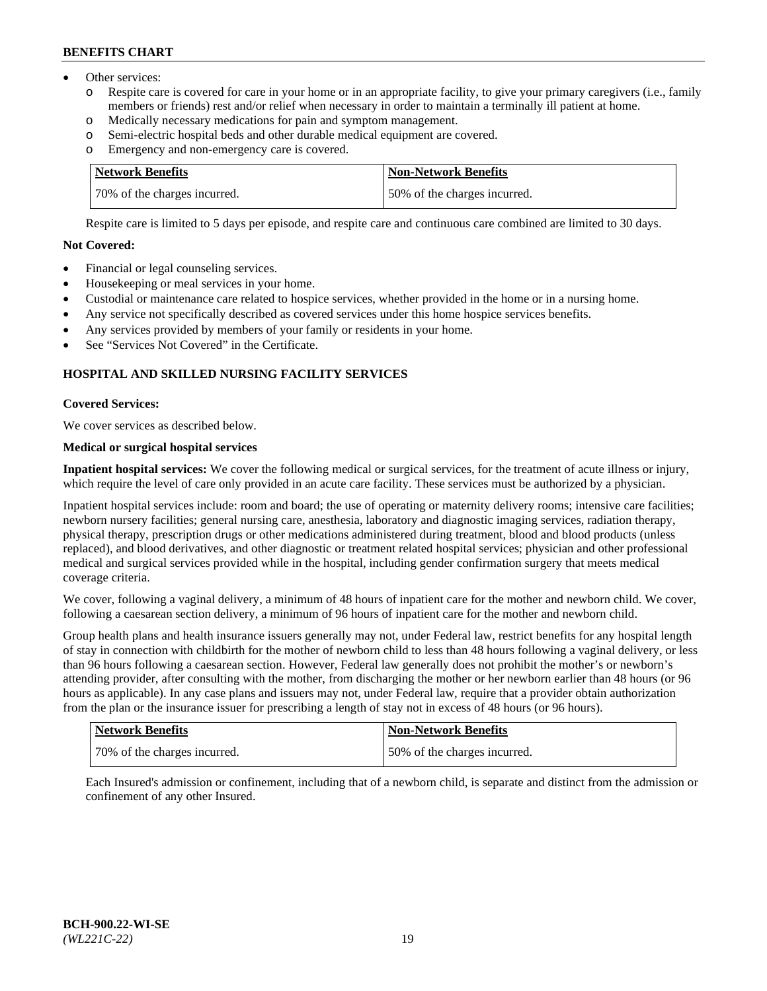- Other services:
	- o Respite care is covered for care in your home or in an appropriate facility, to give your primary caregivers (i.e., family members or friends) rest and/or relief when necessary in order to maintain a terminally ill patient at home.
	- o Medically necessary medications for pain and symptom management.
	- o Semi-electric hospital beds and other durable medical equipment are covered.
	- Emergency and non-emergency care is covered.

| Network Benefits             | Non-Network Benefits         |
|------------------------------|------------------------------|
| 70% of the charges incurred. | 50% of the charges incurred. |

Respite care is limited to 5 days per episode, and respite care and continuous care combined are limited to 30 days.

# **Not Covered:**

- Financial or legal counseling services.
- Housekeeping or meal services in your home.
- Custodial or maintenance care related to hospice services, whether provided in the home or in a nursing home.
- Any service not specifically described as covered services under this home hospice services benefits.
- Any services provided by members of your family or residents in your home.
- See "Services Not Covered" in the Certificate.

## **HOSPITAL AND SKILLED NURSING FACILITY SERVICES**

#### **Covered Services:**

We cover services as described below.

# **Medical or surgical hospital services**

**Inpatient hospital services:** We cover the following medical or surgical services, for the treatment of acute illness or injury, which require the level of care only provided in an acute care facility. These services must be authorized by a physician.

Inpatient hospital services include: room and board; the use of operating or maternity delivery rooms; intensive care facilities; newborn nursery facilities; general nursing care, anesthesia, laboratory and diagnostic imaging services, radiation therapy, physical therapy, prescription drugs or other medications administered during treatment, blood and blood products (unless replaced), and blood derivatives, and other diagnostic or treatment related hospital services; physician and other professional medical and surgical services provided while in the hospital, including gender confirmation surgery that meets medical coverage criteria.

We cover, following a vaginal delivery, a minimum of 48 hours of inpatient care for the mother and newborn child. We cover, following a caesarean section delivery, a minimum of 96 hours of inpatient care for the mother and newborn child.

Group health plans and health insurance issuers generally may not, under Federal law, restrict benefits for any hospital length of stay in connection with childbirth for the mother of newborn child to less than 48 hours following a vaginal delivery, or less than 96 hours following a caesarean section. However, Federal law generally does not prohibit the mother's or newborn's attending provider, after consulting with the mother, from discharging the mother or her newborn earlier than 48 hours (or 96 hours as applicable). In any case plans and issuers may not, under Federal law, require that a provider obtain authorization from the plan or the insurance issuer for prescribing a length of stay not in excess of 48 hours (or 96 hours).

| <b>Network Benefits</b>      | <b>Non-Network Benefits</b>  |
|------------------------------|------------------------------|
| 70% of the charges incurred. | 50% of the charges incurred. |

Each Insured's admission or confinement, including that of a newborn child, is separate and distinct from the admission or confinement of any other Insured.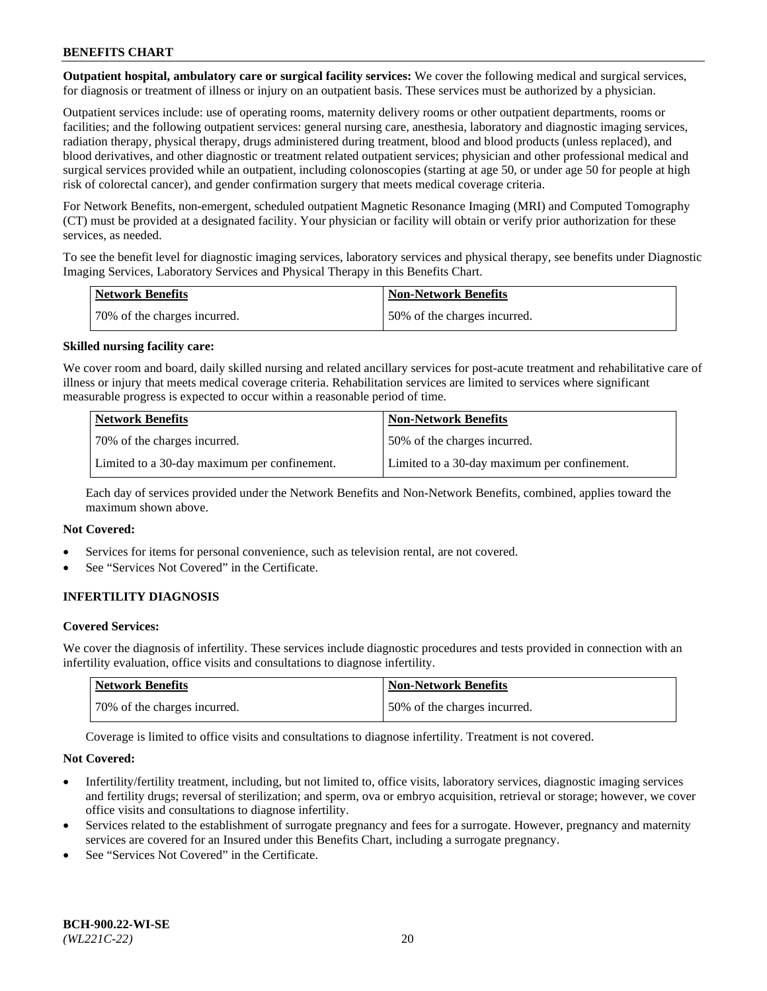**Outpatient hospital, ambulatory care or surgical facility services:** We cover the following medical and surgical services, for diagnosis or treatment of illness or injury on an outpatient basis. These services must be authorized by a physician.

Outpatient services include: use of operating rooms, maternity delivery rooms or other outpatient departments, rooms or facilities; and the following outpatient services: general nursing care, anesthesia, laboratory and diagnostic imaging services, radiation therapy, physical therapy, drugs administered during treatment, blood and blood products (unless replaced), and blood derivatives, and other diagnostic or treatment related outpatient services; physician and other professional medical and surgical services provided while an outpatient, including colonoscopies (starting at age 50, or under age 50 for people at high risk of colorectal cancer), and gender confirmation surgery that meets medical coverage criteria.

For Network Benefits, non-emergent, scheduled outpatient Magnetic Resonance Imaging (MRI) and Computed Tomography (CT) must be provided at a designated facility. Your physician or facility will obtain or verify prior authorization for these services, as needed.

To see the benefit level for diagnostic imaging services, laboratory services and physical therapy, see benefits under Diagnostic Imaging Services, Laboratory Services and Physical Therapy in this Benefits Chart.

| <b>Network Benefits</b>       | <b>Non-Network Benefits</b>  |
|-------------------------------|------------------------------|
| 170% of the charges incurred. | 50% of the charges incurred. |

#### **Skilled nursing facility care:**

We cover room and board, daily skilled nursing and related ancillary services for post-acute treatment and rehabilitative care of illness or injury that meets medical coverage criteria. Rehabilitation services are limited to services where significant measurable progress is expected to occur within a reasonable period of time.

| <b>Network Benefits</b> |                                              | <b>Non-Network Benefits</b>                  |
|-------------------------|----------------------------------------------|----------------------------------------------|
|                         | 70\% of the charges incurred.                | 50% of the charges incurred.                 |
|                         | Limited to a 30-day maximum per confinement. | Limited to a 30-day maximum per confinement. |

Each day of services provided under the Network Benefits and Non-Network Benefits, combined, applies toward the maximum shown above.

## **Not Covered:**

- Services for items for personal convenience, such as television rental, are not covered.
- See "Services Not Covered" in the Certificate.

## **INFERTILITY DIAGNOSIS**

#### **Covered Services:**

We cover the diagnosis of infertility. These services include diagnostic procedures and tests provided in connection with an infertility evaluation, office visits and consultations to diagnose infertility.

| Network Benefits             | <b>Non-Network Benefits</b>  |
|------------------------------|------------------------------|
| 70% of the charges incurred. | 50% of the charges incurred. |

Coverage is limited to office visits and consultations to diagnose infertility. Treatment is not covered.

#### **Not Covered:**

- Infertility/fertility treatment, including, but not limited to, office visits, laboratory services, diagnostic imaging services and fertility drugs; reversal of sterilization; and sperm, ova or embryo acquisition, retrieval or storage; however, we cover office visits and consultations to diagnose infertility.
- Services related to the establishment of surrogate pregnancy and fees for a surrogate. However, pregnancy and maternity services are covered for an Insured under this Benefits Chart, including a surrogate pregnancy.
- See "Services Not Covered" in the Certificate.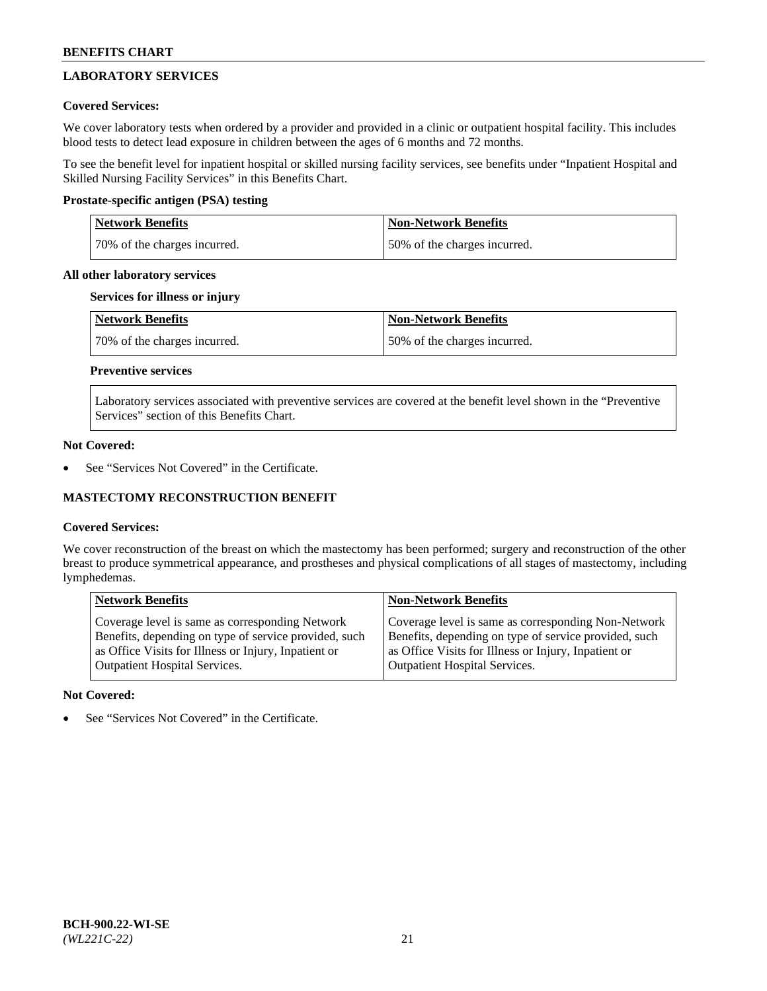# **LABORATORY SERVICES**

## **Covered Services:**

We cover laboratory tests when ordered by a provider and provided in a clinic or outpatient hospital facility. This includes blood tests to detect lead exposure in children between the ages of 6 months and 72 months.

To see the benefit level for inpatient hospital or skilled nursing facility services, see benefits under "Inpatient Hospital and Skilled Nursing Facility Services" in this Benefits Chart.

## **Prostate-specific antigen (PSA) testing**

| <b>Network Benefits</b>      | <b>Non-Network Benefits</b>  |
|------------------------------|------------------------------|
| 70% of the charges incurred. | 50% of the charges incurred. |

## **All other laboratory services**

## **Services for illness or injury**

| Network Benefits             | <b>Non-Network Benefits</b>  |
|------------------------------|------------------------------|
| 70% of the charges incurred. | 50% of the charges incurred. |

# **Preventive services**

Laboratory services associated with preventive services are covered at the benefit level shown in the "Preventive Services" section of this Benefits Chart.

## **Not Covered:**

See "Services Not Covered" in the Certificate.

## **MASTECTOMY RECONSTRUCTION BENEFIT**

## **Covered Services:**

We cover reconstruction of the breast on which the mastectomy has been performed; surgery and reconstruction of the other breast to produce symmetrical appearance, and prostheses and physical complications of all stages of mastectomy, including lymphedemas.

| <b>Network Benefits</b>                               | <b>Non-Network Benefits</b>                           |
|-------------------------------------------------------|-------------------------------------------------------|
| Coverage level is same as corresponding Network       | Coverage level is same as corresponding Non-Network   |
| Benefits, depending on type of service provided, such | Benefits, depending on type of service provided, such |
| as Office Visits for Illness or Injury, Inpatient or  | as Office Visits for Illness or Injury, Inpatient or  |
| <b>Outpatient Hospital Services.</b>                  | <b>Outpatient Hospital Services.</b>                  |

## **Not Covered:**

See "Services Not Covered" in the Certificate.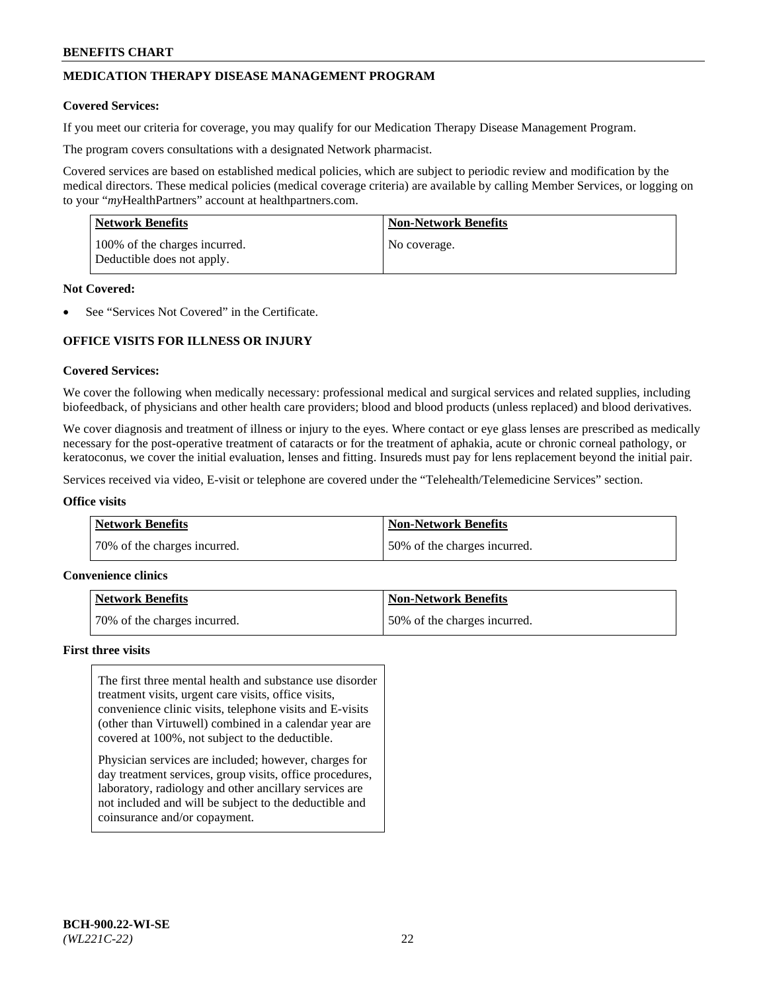# **MEDICATION THERAPY DISEASE MANAGEMENT PROGRAM**

#### **Covered Services:**

If you meet our criteria for coverage, you may qualify for our Medication Therapy Disease Management Program.

The program covers consultations with a designated Network pharmacist.

Covered services are based on established medical policies, which are subject to periodic review and modification by the medical directors. These medical policies (medical coverage criteria) are available by calling Member Services, or logging on to your "*my*HealthPartners" account at [healthpartners.com.](http://www.healthpartners.com/)

| Network Benefits                                            | <b>Non-Network Benefits</b> |
|-------------------------------------------------------------|-----------------------------|
| 100% of the charges incurred.<br>Deductible does not apply. | No coverage.                |

#### **Not Covered:**

See "Services Not Covered" in the Certificate.

# **OFFICE VISITS FOR ILLNESS OR INJURY**

#### **Covered Services:**

We cover the following when medically necessary: professional medical and surgical services and related supplies, including biofeedback, of physicians and other health care providers; blood and blood products (unless replaced) and blood derivatives.

We cover diagnosis and treatment of illness or injury to the eyes. Where contact or eye glass lenses are prescribed as medically necessary for the post-operative treatment of cataracts or for the treatment of aphakia, acute or chronic corneal pathology, or keratoconus, we cover the initial evaluation, lenses and fitting. Insureds must pay for lens replacement beyond the initial pair.

Services received via video, E-visit or telephone are covered under the "Telehealth/Telemedicine Services" section.

#### **Office visits**

| <b>Network Benefits</b>      | <b>Non-Network Benefits</b>  |
|------------------------------|------------------------------|
| 70% of the charges incurred. | 50% of the charges incurred. |

#### **Convenience clinics**

| Network Benefits             | <b>Non-Network Benefits</b>  |
|------------------------------|------------------------------|
| 70% of the charges incurred. | 50% of the charges incurred. |

#### **First three visits**

The first three mental health and substance use disorder treatment visits, urgent care visits, office visits, convenience clinic visits, telephone visits and E-visits (other than Virtuwell) combined in a calendar year are covered at 100%, not subject to the deductible.

Physician services are included; however, charges for day treatment services, group visits, office procedures, laboratory, radiology and other ancillary services are not included and will be subject to the deductible and coinsurance and/or copayment.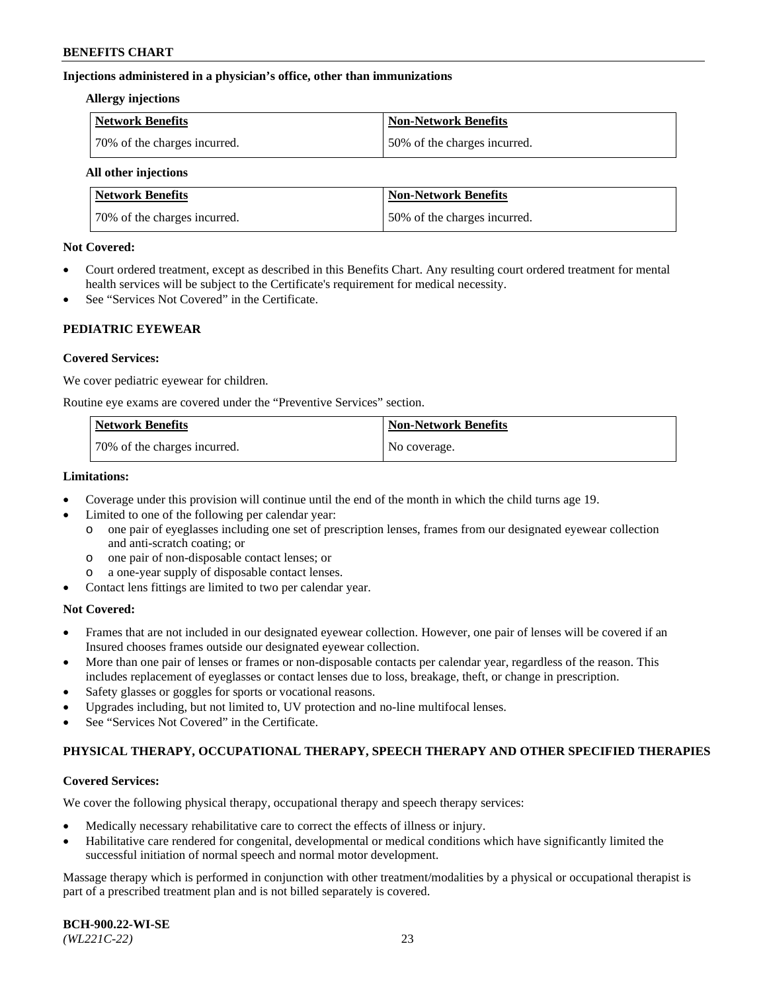#### **Injections administered in a physician's office, other than immunizations**

#### **Allergy injections**

| Network Benefits             | <b>Non-Network Benefits</b>  |
|------------------------------|------------------------------|
| 70% of the charges incurred. | 50% of the charges incurred. |

#### **All other injections**

| <b>Network Benefits</b>      | <b>Non-Network Benefits</b>  |
|------------------------------|------------------------------|
| 70% of the charges incurred. | 50% of the charges incurred. |

#### **Not Covered:**

- Court ordered treatment, except as described in this Benefits Chart. Any resulting court ordered treatment for mental health services will be subject to the Certificate's requirement for medical necessity.
- See "Services Not Covered" in the Certificate.

## **PEDIATRIC EYEWEAR**

#### **Covered Services:**

We cover pediatric eyewear for children.

Routine eye exams are covered under the "Preventive Services" section.

| <b>Network Benefits</b>      | <b>Non-Network Benefits</b> |
|------------------------------|-----------------------------|
| 70% of the charges incurred. | No coverage.                |

#### **Limitations:**

- Coverage under this provision will continue until the end of the month in which the child turns age 19.
- Limited to one of the following per calendar year:
	- o one pair of eyeglasses including one set of prescription lenses, frames from our designated eyewear collection and anti-scratch coating; or
	- o one pair of non-disposable contact lenses; or
	- o a one-year supply of disposable contact lenses.
- Contact lens fittings are limited to two per calendar year.

## **Not Covered:**

- Frames that are not included in our designated eyewear collection. However, one pair of lenses will be covered if an Insured chooses frames outside our designated eyewear collection.
- More than one pair of lenses or frames or non-disposable contacts per calendar year, regardless of the reason. This includes replacement of eyeglasses or contact lenses due to loss, breakage, theft, or change in prescription.
- Safety glasses or goggles for sports or vocational reasons.
- Upgrades including, but not limited to, UV protection and no-line multifocal lenses.
- See "Services Not Covered" in the Certificate.

## **PHYSICAL THERAPY, OCCUPATIONAL THERAPY, SPEECH THERAPY AND OTHER SPECIFIED THERAPIES**

## **Covered Services:**

We cover the following physical therapy, occupational therapy and speech therapy services:

- Medically necessary rehabilitative care to correct the effects of illness or injury.
- Habilitative care rendered for congenital, developmental or medical conditions which have significantly limited the successful initiation of normal speech and normal motor development.

Massage therapy which is performed in conjunction with other treatment/modalities by a physical or occupational therapist is part of a prescribed treatment plan and is not billed separately is covered.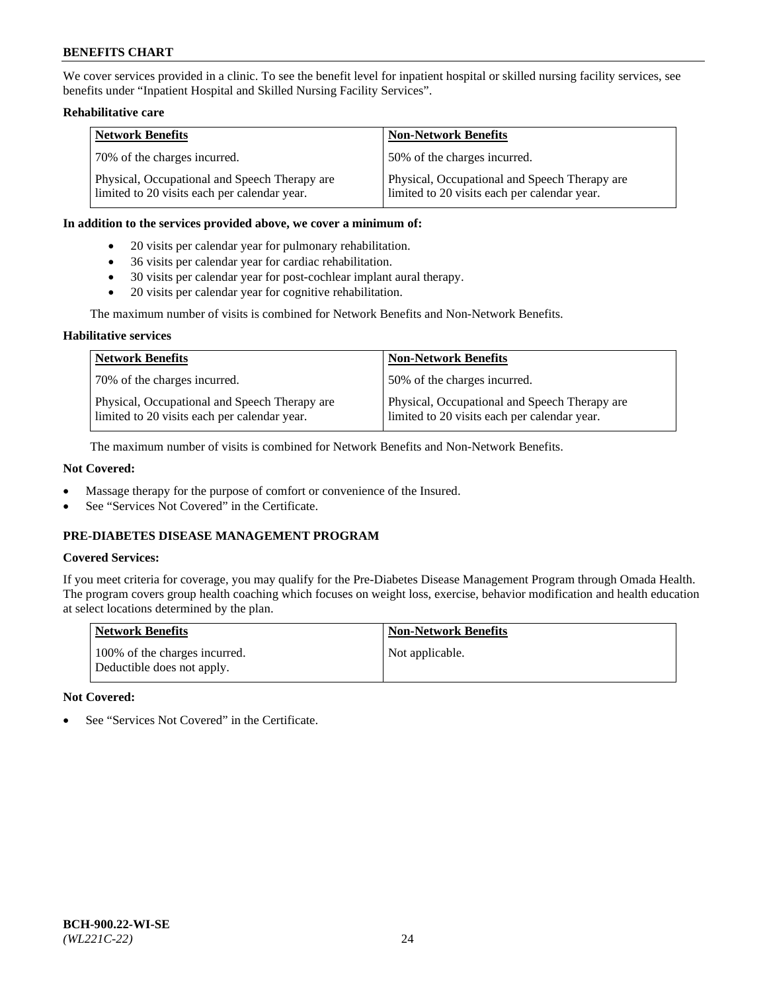We cover services provided in a clinic. To see the benefit level for inpatient hospital or skilled nursing facility services, see benefits under "Inpatient Hospital and Skilled Nursing Facility Services".

## **Rehabilitative care**

| <b>Network Benefits</b>                                                                       | <b>Non-Network Benefits</b>                                                                   |
|-----------------------------------------------------------------------------------------------|-----------------------------------------------------------------------------------------------|
| 70% of the charges incurred.                                                                  | 50% of the charges incurred.                                                                  |
| Physical, Occupational and Speech Therapy are<br>limited to 20 visits each per calendar year. | Physical, Occupational and Speech Therapy are<br>limited to 20 visits each per calendar year. |

#### **In addition to the services provided above, we cover a minimum of:**

- 20 visits per calendar year for pulmonary rehabilitation.
- 36 visits per calendar year for cardiac rehabilitation.
- 30 visits per calendar year for post-cochlear implant aural therapy.
- 20 visits per calendar year for cognitive rehabilitation.

The maximum number of visits is combined for Network Benefits and Non-Network Benefits.

## **Habilitative services**

| <b>Network Benefits</b>                                                                       | <b>Non-Network Benefits</b>                                                                   |
|-----------------------------------------------------------------------------------------------|-----------------------------------------------------------------------------------------------|
| 70% of the charges incurred.                                                                  | 50% of the charges incurred.                                                                  |
| Physical, Occupational and Speech Therapy are<br>limited to 20 visits each per calendar year. | Physical, Occupational and Speech Therapy are<br>limited to 20 visits each per calendar year. |

The maximum number of visits is combined for Network Benefits and Non-Network Benefits.

## **Not Covered:**

- Massage therapy for the purpose of comfort or convenience of the Insured.
- See "Services Not Covered" in the Certificate.

# **PRE-DIABETES DISEASE MANAGEMENT PROGRAM**

## **Covered Services:**

If you meet criteria for coverage, you may qualify for the Pre-Diabetes Disease Management Program through Omada Health. The program covers group health coaching which focuses on weight loss, exercise, behavior modification and health education at select locations determined by the plan.

| <b>Network Benefits</b>                                     | <b>Non-Network Benefits</b> |
|-------------------------------------------------------------|-----------------------------|
| 100% of the charges incurred.<br>Deductible does not apply. | Not applicable.             |

## **Not Covered:**

See "Services Not Covered" in the Certificate.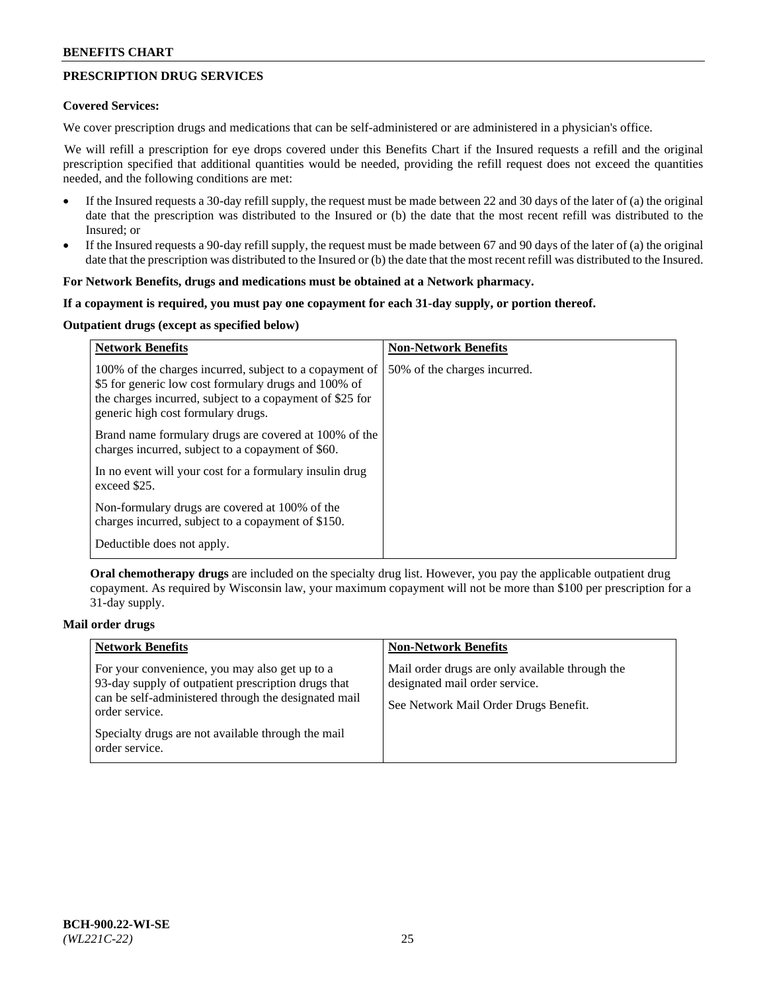# **PRESCRIPTION DRUG SERVICES**

#### **Covered Services:**

We cover prescription drugs and medications that can be self-administered or are administered in a physician's office.

We will refill a prescription for eye drops covered under this Benefits Chart if the Insured requests a refill and the original prescription specified that additional quantities would be needed, providing the refill request does not exceed the quantities needed, and the following conditions are met:

- If the Insured requests a 30-day refill supply, the request must be made between 22 and 30 days of the later of (a) the original date that the prescription was distributed to the Insured or (b) the date that the most recent refill was distributed to the Insured; or
- If the Insured requests a 90-day refill supply, the request must be made between 67 and 90 days of the later of (a) the original date that the prescription was distributed to the Insured or (b) the date that the most recent refill was distributed to the Insured.

#### **For Network Benefits, drugs and medications must be obtained at a Network pharmacy.**

#### **If a copayment is required, you must pay one copayment for each 31-day supply, or portion thereof.**

## **Outpatient drugs (except as specified below)**

| <b>Network Benefits</b>                                                                                                                                                                                           | <b>Non-Network Benefits</b>  |
|-------------------------------------------------------------------------------------------------------------------------------------------------------------------------------------------------------------------|------------------------------|
| 100% of the charges incurred, subject to a copayment of<br>\$5 for generic low cost formulary drugs and 100% of<br>the charges incurred, subject to a copayment of \$25 for<br>generic high cost formulary drugs. | 50% of the charges incurred. |
| Brand name formulary drugs are covered at 100% of the<br>charges incurred, subject to a copayment of \$60.                                                                                                        |                              |
| In no event will your cost for a formulary insulin drug<br>exceed \$25.                                                                                                                                           |                              |
| Non-formulary drugs are covered at 100% of the<br>charges incurred, subject to a copayment of \$150.                                                                                                              |                              |
| Deductible does not apply.                                                                                                                                                                                        |                              |

**Oral chemotherapy drugs** are included on the specialty drug list. However, you pay the applicable outpatient drug copayment. As required by Wisconsin law, your maximum copayment will not be more than \$100 per prescription for a 31-day supply.

## **Mail order drugs**

| <b>Network Benefits</b>                                                                                                                                                         | <b>Non-Network Benefits</b>                                                                                                |
|---------------------------------------------------------------------------------------------------------------------------------------------------------------------------------|----------------------------------------------------------------------------------------------------------------------------|
| For your convenience, you may also get up to a<br>93-day supply of outpatient prescription drugs that<br>can be self-administered through the designated mail<br>order service. | Mail order drugs are only available through the<br>designated mail order service.<br>See Network Mail Order Drugs Benefit. |
| Specialty drugs are not available through the mail<br>order service.                                                                                                            |                                                                                                                            |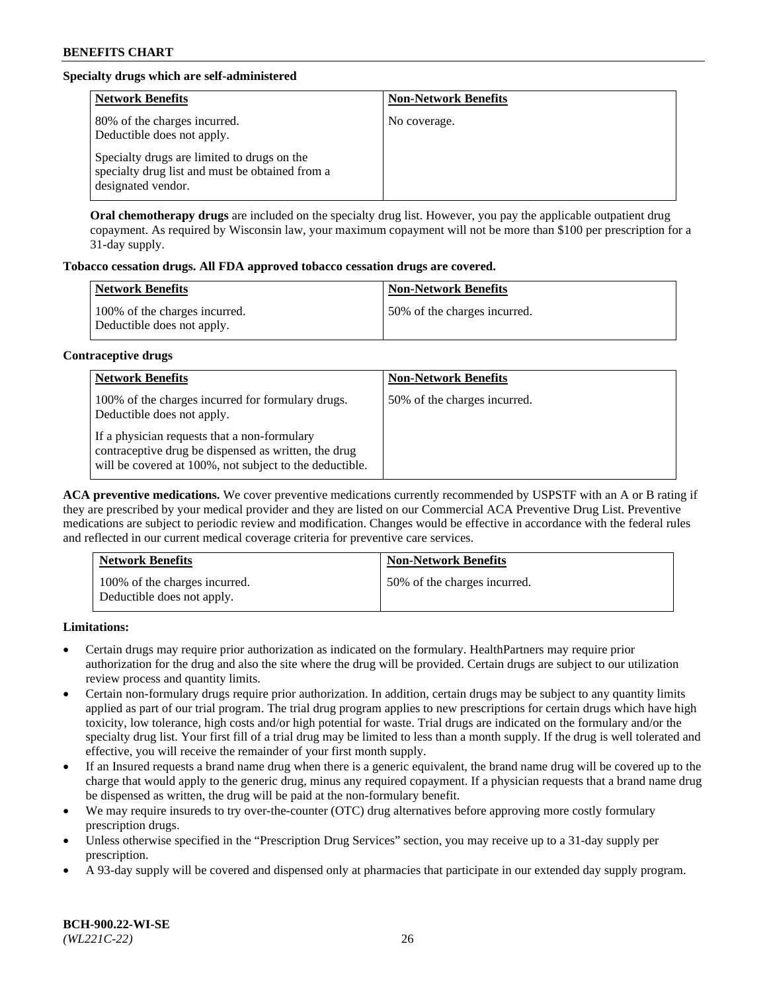# **Specialty drugs which are self-administered**

| <b>Network Benefits</b>                                                                                              | <b>Non-Network Benefits</b> |
|----------------------------------------------------------------------------------------------------------------------|-----------------------------|
| 80% of the charges incurred.<br>Deductible does not apply.                                                           | No coverage.                |
| Specialty drugs are limited to drugs on the<br>specialty drug list and must be obtained from a<br>designated vendor. |                             |

**Oral chemotherapy drugs** are included on the specialty drug list. However, you pay the applicable outpatient drug copayment. As required by Wisconsin law, your maximum copayment will not be more than \$100 per prescription for a 31-day supply.

## **Tobacco cessation drugs. All FDA approved tobacco cessation drugs are covered.**

| <b>Network Benefits</b>                                     | <b>Non-Network Benefits</b>  |
|-------------------------------------------------------------|------------------------------|
| 100% of the charges incurred.<br>Deductible does not apply. | 50% of the charges incurred. |

## **Contraceptive drugs**

| <b>Network Benefits</b>                                                                                                                                         | <b>Non-Network Benefits</b>  |
|-----------------------------------------------------------------------------------------------------------------------------------------------------------------|------------------------------|
| 100% of the charges incurred for formulary drugs.<br>Deductible does not apply.                                                                                 | 50% of the charges incurred. |
| If a physician requests that a non-formulary<br>contraceptive drug be dispensed as written, the drug<br>will be covered at 100%, not subject to the deductible. |                              |

**ACA preventive medications.** We cover preventive medications currently recommended by USPSTF with an A or B rating if they are prescribed by your medical provider and they are listed on our Commercial ACA Preventive Drug List. Preventive medications are subject to periodic review and modification. Changes would be effective in accordance with the federal rules and reflected in our current medical coverage criteria for preventive care services.

| <b>Network Benefits</b>                                     | <b>Non-Network Benefits</b>  |
|-------------------------------------------------------------|------------------------------|
| 100% of the charges incurred.<br>Deductible does not apply. | 50% of the charges incurred. |

**Limitations:**

- Certain drugs may require prior authorization as indicated on the formulary. HealthPartners may require prior authorization for the drug and also the site where the drug will be provided. Certain drugs are subject to our utilization review process and quantity limits.
- Certain non-formulary drugs require prior authorization. In addition, certain drugs may be subject to any quantity limits applied as part of our trial program. The trial drug program applies to new prescriptions for certain drugs which have high toxicity, low tolerance, high costs and/or high potential for waste. Trial drugs are indicated on the formulary and/or the specialty drug list. Your first fill of a trial drug may be limited to less than a month supply. If the drug is well tolerated and effective, you will receive the remainder of your first month supply.
- If an Insured requests a brand name drug when there is a generic equivalent, the brand name drug will be covered up to the charge that would apply to the generic drug, minus any required copayment. If a physician requests that a brand name drug be dispensed as written, the drug will be paid at the non-formulary benefit.
- We may require insureds to try over-the-counter (OTC) drug alternatives before approving more costly formulary prescription drugs.
- Unless otherwise specified in the "Prescription Drug Services" section, you may receive up to a 31-day supply per prescription.
- A 93-day supply will be covered and dispensed only at pharmacies that participate in our extended day supply program.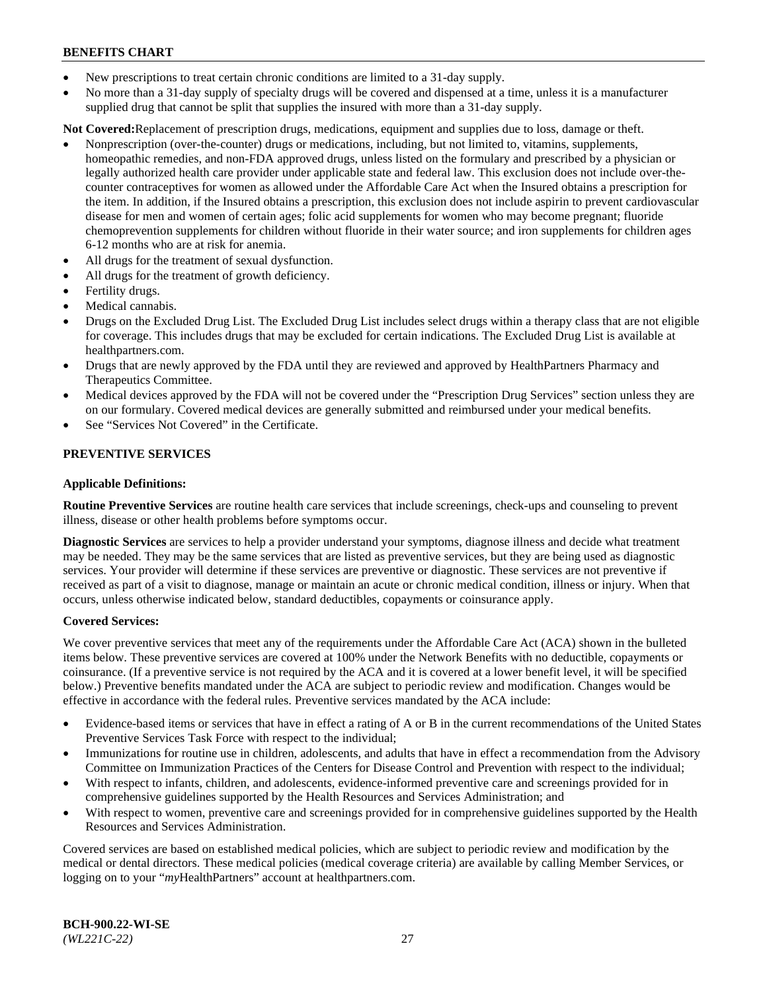- New prescriptions to treat certain chronic conditions are limited to a 31-day supply.
- No more than a 31-day supply of specialty drugs will be covered and dispensed at a time, unless it is a manufacturer supplied drug that cannot be split that supplies the insured with more than a 31-day supply.

**Not Covered:**Replacement of prescription drugs, medications, equipment and supplies due to loss, damage or theft.

- Nonprescription (over-the-counter) drugs or medications, including, but not limited to, vitamins, supplements, homeopathic remedies, and non-FDA approved drugs, unless listed on the formulary and prescribed by a physician or legally authorized health care provider under applicable state and federal law. This exclusion does not include over-thecounter contraceptives for women as allowed under the Affordable Care Act when the Insured obtains a prescription for the item. In addition, if the Insured obtains a prescription, this exclusion does not include aspirin to prevent cardiovascular disease for men and women of certain ages; folic acid supplements for women who may become pregnant; fluoride chemoprevention supplements for children without fluoride in their water source; and iron supplements for children ages 6-12 months who are at risk for anemia.
- All drugs for the treatment of sexual dysfunction.
- All drugs for the treatment of growth deficiency.
- Fertility drugs.
- Medical cannabis.
- Drugs on the Excluded Drug List. The Excluded Drug List includes select drugs within a therapy class that are not eligible for coverage. This includes drugs that may be excluded for certain indications. The Excluded Drug List is available at [healthpartners.com.](http://www.healthpartners.com/)
- Drugs that are newly approved by the FDA until they are reviewed and approved by HealthPartners Pharmacy and Therapeutics Committee.
- Medical devices approved by the FDA will not be covered under the "Prescription Drug Services" section unless they are on our formulary. Covered medical devices are generally submitted and reimbursed under your medical benefits.
- See "Services Not Covered" in the Certificate.

## **PREVENTIVE SERVICES**

#### **Applicable Definitions:**

**Routine Preventive Services** are routine health care services that include screenings, check-ups and counseling to prevent illness, disease or other health problems before symptoms occur.

**Diagnostic Services** are services to help a provider understand your symptoms, diagnose illness and decide what treatment may be needed. They may be the same services that are listed as preventive services, but they are being used as diagnostic services. Your provider will determine if these services are preventive or diagnostic. These services are not preventive if received as part of a visit to diagnose, manage or maintain an acute or chronic medical condition, illness or injury. When that occurs, unless otherwise indicated below, standard deductibles, copayments or coinsurance apply.

#### **Covered Services:**

We cover preventive services that meet any of the requirements under the Affordable Care Act (ACA) shown in the bulleted items below. These preventive services are covered at 100% under the Network Benefits with no deductible, copayments or coinsurance. (If a preventive service is not required by the ACA and it is covered at a lower benefit level, it will be specified below.) Preventive benefits mandated under the ACA are subject to periodic review and modification. Changes would be effective in accordance with the federal rules. Preventive services mandated by the ACA include:

- Evidence-based items or services that have in effect a rating of A or B in the current recommendations of the United States Preventive Services Task Force with respect to the individual;
- Immunizations for routine use in children, adolescents, and adults that have in effect a recommendation from the Advisory Committee on Immunization Practices of the Centers for Disease Control and Prevention with respect to the individual;
- With respect to infants, children, and adolescents, evidence-informed preventive care and screenings provided for in comprehensive guidelines supported by the Health Resources and Services Administration; and
- With respect to women, preventive care and screenings provided for in comprehensive guidelines supported by the Health Resources and Services Administration.

Covered services are based on established medical policies, which are subject to periodic review and modification by the medical or dental directors. These medical policies (medical coverage criteria) are available by calling Member Services, or logging on to your "*my*HealthPartners" account at [healthpartners.com.](https://www.healthpartners.com/hp/index.html)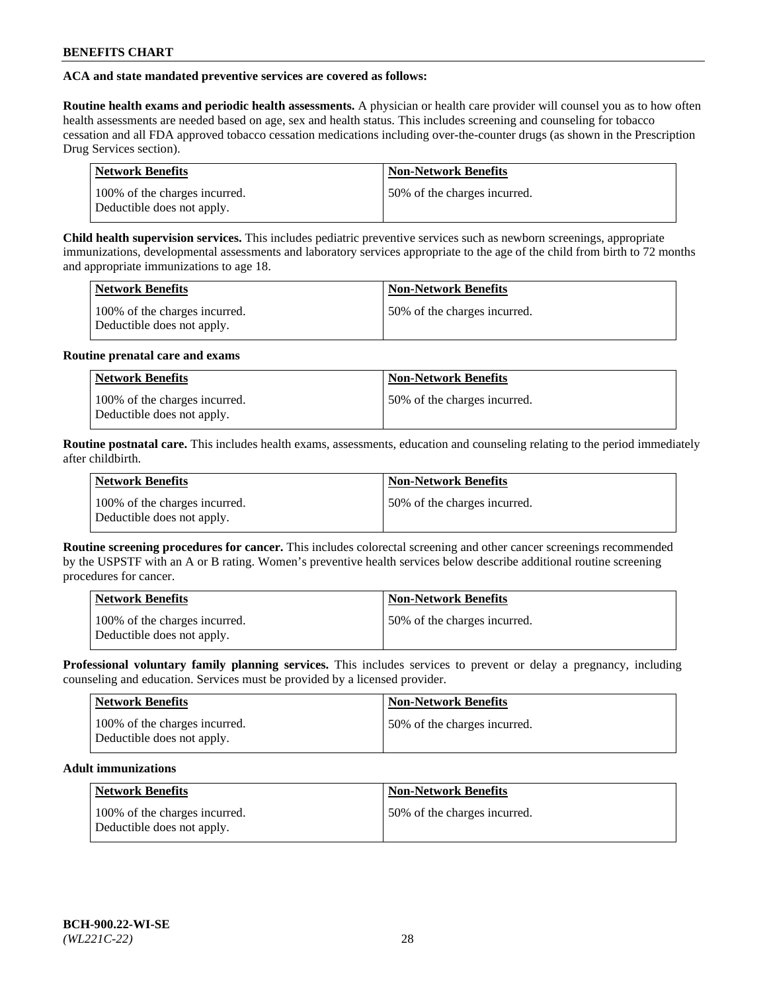## **ACA and state mandated preventive services are covered as follows:**

**Routine health exams and periodic health assessments.** A physician or health care provider will counsel you as to how often health assessments are needed based on age, sex and health status. This includes screening and counseling for tobacco cessation and all FDA approved tobacco cessation medications including over-the-counter drugs (as shown in the Prescription Drug Services section).

| <b>Network Benefits</b>                                     | <b>Non-Network Benefits</b>   |
|-------------------------------------------------------------|-------------------------------|
| 100% of the charges incurred.<br>Deductible does not apply. | 150% of the charges incurred. |

**Child health supervision services.** This includes pediatric preventive services such as newborn screenings, appropriate immunizations, developmental assessments and laboratory services appropriate to the age of the child from birth to 72 months and appropriate immunizations to age 18.

| <b>Network Benefits</b>                                     | <b>Non-Network Benefits</b>  |
|-------------------------------------------------------------|------------------------------|
| 100% of the charges incurred.<br>Deductible does not apply. | 50% of the charges incurred. |

#### **Routine prenatal care and exams**

| Network Benefits                                            | <b>Non-Network Benefits</b>   |
|-------------------------------------------------------------|-------------------------------|
| 100% of the charges incurred.<br>Deductible does not apply. | 150% of the charges incurred. |

**Routine postnatal care.** This includes health exams, assessments, education and counseling relating to the period immediately after childbirth.

| <b>Network Benefits</b>                                     | <b>Non-Network Benefits</b>  |
|-------------------------------------------------------------|------------------------------|
| 100% of the charges incurred.<br>Deductible does not apply. | 50% of the charges incurred. |

**Routine screening procedures for cancer.** This includes colorectal screening and other cancer screenings recommended by the USPSTF with an A or B rating. Women's preventive health services below describe additional routine screening procedures for cancer.

| <b>Network Benefits</b>                                     | <b>Non-Network Benefits</b>   |
|-------------------------------------------------------------|-------------------------------|
| 100% of the charges incurred.<br>Deductible does not apply. | 150% of the charges incurred. |

**Professional voluntary family planning services.** This includes services to prevent or delay a pregnancy, including counseling and education. Services must be provided by a licensed provider.

| <b>Network Benefits</b>                                     | <b>Non-Network Benefits</b>  |
|-------------------------------------------------------------|------------------------------|
| 100% of the charges incurred.<br>Deductible does not apply. | 50% of the charges incurred. |

# **Adult immunizations**

| Network Benefits                                            | <b>Non-Network Benefits</b>  |
|-------------------------------------------------------------|------------------------------|
| 100% of the charges incurred.<br>Deductible does not apply. | 50% of the charges incurred. |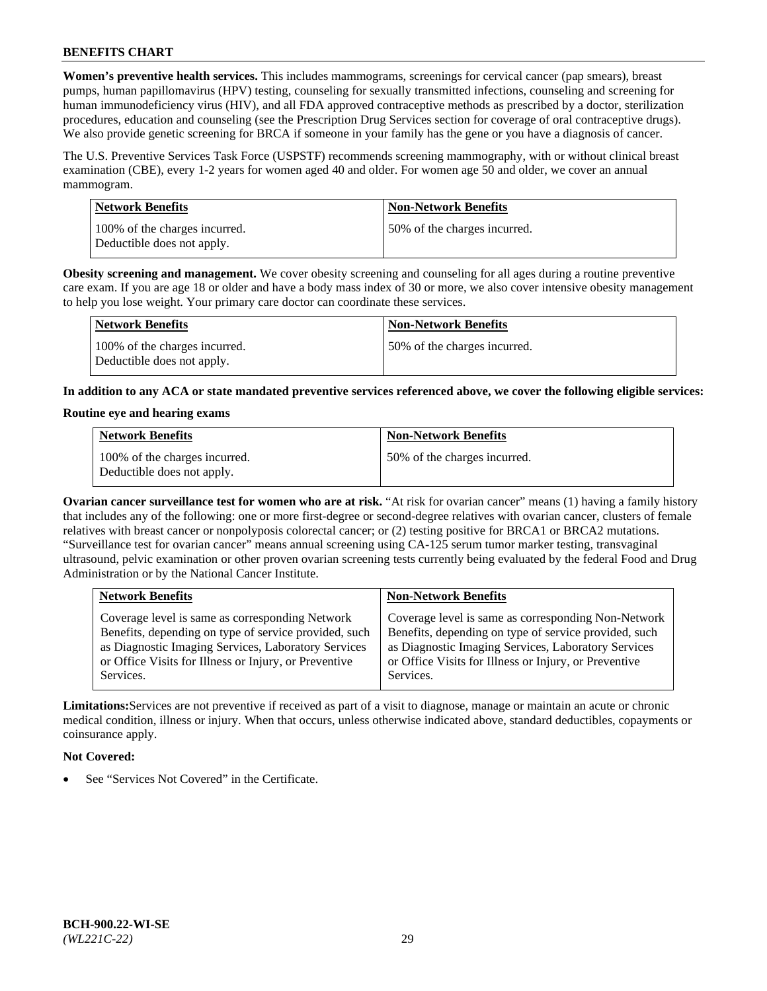**Women's preventive health services.** This includes mammograms, screenings for cervical cancer (pap smears), breast pumps, human papillomavirus (HPV) testing, counseling for sexually transmitted infections, counseling and screening for human immunodeficiency virus (HIV), and all FDA approved contraceptive methods as prescribed by a doctor, sterilization procedures, education and counseling (see the Prescription Drug Services section for coverage of oral contraceptive drugs). We also provide genetic screening for BRCA if someone in your family has the gene or you have a diagnosis of cancer.

The U.S. Preventive Services Task Force (USPSTF) recommends screening mammography, with or without clinical breast examination (CBE), every 1-2 years for women aged 40 and older. For women age 50 and older, we cover an annual mammogram.

| <b>Network Benefits</b>                                     | <b>Non-Network Benefits</b>  |
|-------------------------------------------------------------|------------------------------|
| 100% of the charges incurred.<br>Deductible does not apply. | 50% of the charges incurred. |

**Obesity screening and management.** We cover obesity screening and counseling for all ages during a routine preventive care exam. If you are age 18 or older and have a body mass index of 30 or more, we also cover intensive obesity management to help you lose weight. Your primary care doctor can coordinate these services.

| Network Benefits                                            | <b>Non-Network Benefits</b>  |
|-------------------------------------------------------------|------------------------------|
| 100% of the charges incurred.<br>Deductible does not apply. | 50% of the charges incurred. |

**In addition to any ACA or state mandated preventive services referenced above, we cover the following eligible services:**

#### **Routine eye and hearing exams**

| <b>Network Benefits</b>                                     | <b>Non-Network Benefits</b>  |
|-------------------------------------------------------------|------------------------------|
| 100% of the charges incurred.<br>Deductible does not apply. | 50% of the charges incurred. |

**Ovarian cancer surveillance test for women who are at risk.** "At risk for ovarian cancer" means (1) having a family history that includes any of the following: one or more first-degree or second-degree relatives with ovarian cancer, clusters of female relatives with breast cancer or nonpolyposis colorectal cancer; or (2) testing positive for BRCA1 or BRCA2 mutations. "Surveillance test for ovarian cancer" means annual screening using CA-125 serum tumor marker testing, transvaginal ultrasound, pelvic examination or other proven ovarian screening tests currently being evaluated by the federal Food and Drug Administration or by the National Cancer Institute.

| <b>Network Benefits</b>                               | <b>Non-Network Benefits</b>                           |
|-------------------------------------------------------|-------------------------------------------------------|
| Coverage level is same as corresponding Network       | Coverage level is same as corresponding Non-Network   |
| Benefits, depending on type of service provided, such | Benefits, depending on type of service provided, such |
| as Diagnostic Imaging Services, Laboratory Services   | as Diagnostic Imaging Services, Laboratory Services   |
| or Office Visits for Illness or Injury, or Preventive | or Office Visits for Illness or Injury, or Preventive |
| Services.                                             | Services.                                             |

**Limitations:**Services are not preventive if received as part of a visit to diagnose, manage or maintain an acute or chronic medical condition, illness or injury. When that occurs, unless otherwise indicated above, standard deductibles, copayments or coinsurance apply.

## **Not Covered:**

See "Services Not Covered" in the Certificate.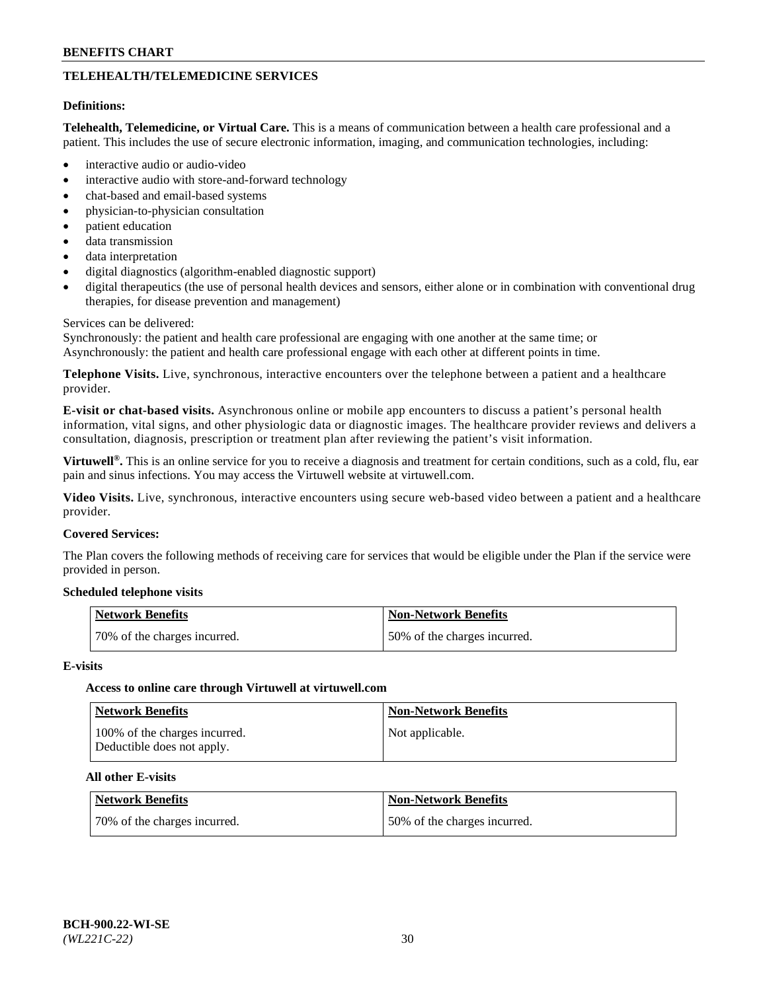# **TELEHEALTH/TELEMEDICINE SERVICES**

#### **Definitions:**

**Telehealth, Telemedicine, or Virtual Care.** This is a means of communication between a health care professional and a patient. This includes the use of secure electronic information, imaging, and communication technologies, including:

- interactive audio or audio-video
- interactive audio with store-and-forward technology
- chat-based and email-based systems
- physician-to-physician consultation
- patient education
- data transmission
- data interpretation
- digital diagnostics (algorithm-enabled diagnostic support)
- digital therapeutics (the use of personal health devices and sensors, either alone or in combination with conventional drug therapies, for disease prevention and management)

#### Services can be delivered:

Synchronously: the patient and health care professional are engaging with one another at the same time; or Asynchronously: the patient and health care professional engage with each other at different points in time.

**Telephone Visits.** Live, synchronous, interactive encounters over the telephone between a patient and a healthcare provider.

**E-visit or chat-based visits.** Asynchronous online or mobile app encounters to discuss a patient's personal health information, vital signs, and other physiologic data or diagnostic images. The healthcare provider reviews and delivers a consultation, diagnosis, prescription or treatment plan after reviewing the patient's visit information.

**Virtuwell®.** This is an online service for you to receive a diagnosis and treatment for certain conditions, such as a cold, flu, ear pain and sinus infections. You may access the Virtuwell website at [virtuwell.com.](https://www.virtuwell.com/)

**Video Visits.** Live, synchronous, interactive encounters using secure web-based video between a patient and a healthcare provider.

#### **Covered Services:**

The Plan covers the following methods of receiving care for services that would be eligible under the Plan if the service were provided in person.

#### **Scheduled telephone visits**

| Network Benefits             | Non-Network Benefits         |
|------------------------------|------------------------------|
| 70% of the charges incurred. | 50% of the charges incurred. |

#### **E-visits**

## **Access to online care through Virtuwell at [virtuwell.com](https://www.virtuwell.com/)**

| <b>Network Benefits</b>                                     | <b>Non-Network Benefits</b> |
|-------------------------------------------------------------|-----------------------------|
| 100% of the charges incurred.<br>Deductible does not apply. | Not applicable.             |

## **All other E-visits**

| Network Benefits             | <b>Non-Network Benefits</b>  |
|------------------------------|------------------------------|
| 70% of the charges incurred. | 50% of the charges incurred. |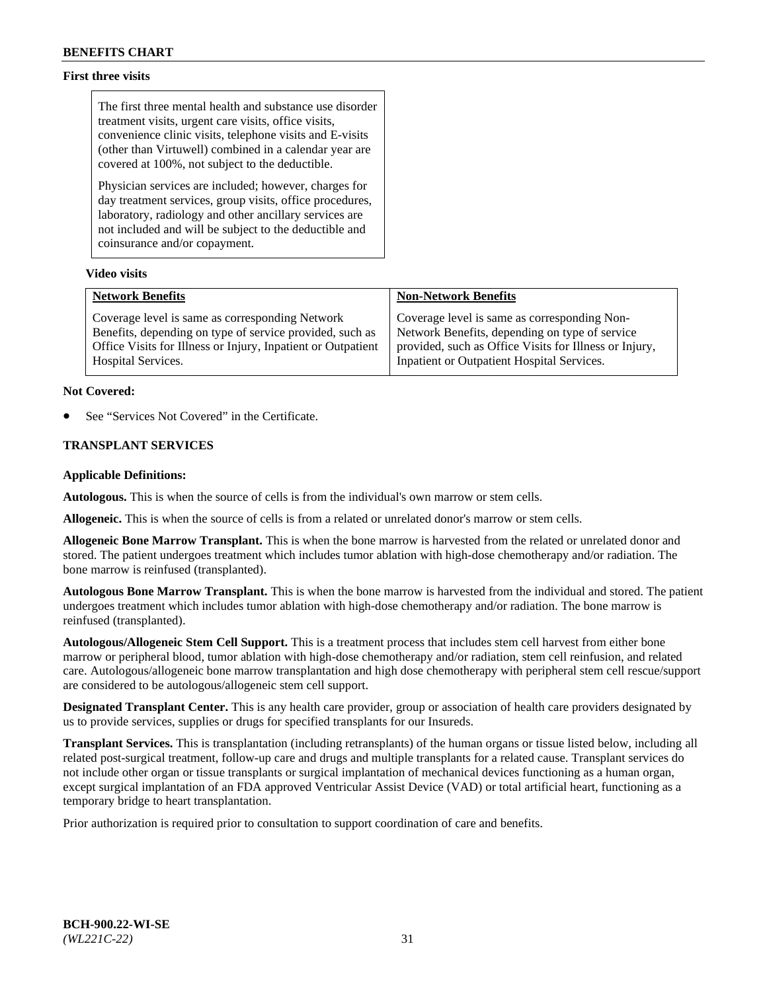## **First three visits**

The first three mental health and substance use disorder treatment visits, urgent care visits, office visits, convenience clinic visits, telephone visits and E-visits (other than Virtuwell) combined in a calendar year are covered at 100%, not subject to the deductible.

Physician services are included; however, charges for day treatment services, group visits, office procedures, laboratory, radiology and other ancillary services are not included and will be subject to the deductible and coinsurance and/or copayment.

#### **Video visits**

| <b>Network Benefits</b>                                      | <b>Non-Network Benefits</b>                            |
|--------------------------------------------------------------|--------------------------------------------------------|
| Coverage level is same as corresponding Network              | Coverage level is same as corresponding Non-           |
| Benefits, depending on type of service provided, such as     | Network Benefits, depending on type of service         |
| Office Visits for Illness or Injury, Inpatient or Outpatient | provided, such as Office Visits for Illness or Injury, |
| Hospital Services.                                           | Inpatient or Outpatient Hospital Services.             |

#### **Not Covered:**

See "Services Not Covered" in the Certificate.

## **TRANSPLANT SERVICES**

#### **Applicable Definitions:**

**Autologous.** This is when the source of cells is from the individual's own marrow or stem cells.

**Allogeneic.** This is when the source of cells is from a related or unrelated donor's marrow or stem cells.

**Allogeneic Bone Marrow Transplant.** This is when the bone marrow is harvested from the related or unrelated donor and stored. The patient undergoes treatment which includes tumor ablation with high-dose chemotherapy and/or radiation. The bone marrow is reinfused (transplanted).

**Autologous Bone Marrow Transplant.** This is when the bone marrow is harvested from the individual and stored. The patient undergoes treatment which includes tumor ablation with high-dose chemotherapy and/or radiation. The bone marrow is reinfused (transplanted).

**Autologous/Allogeneic Stem Cell Support.** This is a treatment process that includes stem cell harvest from either bone marrow or peripheral blood, tumor ablation with high-dose chemotherapy and/or radiation, stem cell reinfusion, and related care. Autologous/allogeneic bone marrow transplantation and high dose chemotherapy with peripheral stem cell rescue/support are considered to be autologous/allogeneic stem cell support.

**Designated Transplant Center.** This is any health care provider, group or association of health care providers designated by us to provide services, supplies or drugs for specified transplants for our Insureds.

**Transplant Services.** This is transplantation (including retransplants) of the human organs or tissue listed below, including all related post-surgical treatment, follow-up care and drugs and multiple transplants for a related cause. Transplant services do not include other organ or tissue transplants or surgical implantation of mechanical devices functioning as a human organ, except surgical implantation of an FDA approved Ventricular Assist Device (VAD) or total artificial heart, functioning as a temporary bridge to heart transplantation.

Prior authorization is required prior to consultation to support coordination of care and benefits.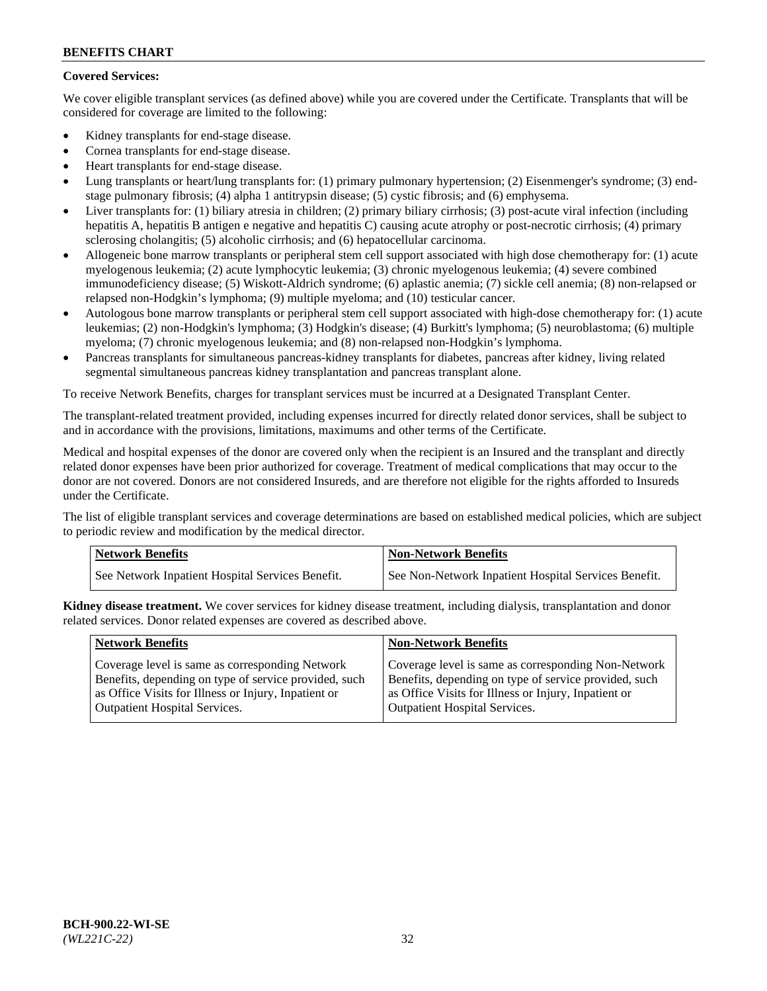## **Covered Services:**

We cover eligible transplant services (as defined above) while you are covered under the Certificate. Transplants that will be considered for coverage are limited to the following:

- Kidney transplants for end-stage disease.
- Cornea transplants for end-stage disease.
- Heart transplants for end-stage disease.
- Lung transplants or heart/lung transplants for: (1) primary pulmonary hypertension; (2) Eisenmenger's syndrome; (3) endstage pulmonary fibrosis; (4) alpha 1 antitrypsin disease; (5) cystic fibrosis; and (6) emphysema.
- Liver transplants for: (1) biliary atresia in children; (2) primary biliary cirrhosis; (3) post-acute viral infection (including hepatitis A, hepatitis B antigen e negative and hepatitis C) causing acute atrophy or post-necrotic cirrhosis; (4) primary sclerosing cholangitis; (5) alcoholic cirrhosis; and (6) hepatocellular carcinoma.
- Allogeneic bone marrow transplants or peripheral stem cell support associated with high dose chemotherapy for: (1) acute myelogenous leukemia; (2) acute lymphocytic leukemia; (3) chronic myelogenous leukemia; (4) severe combined immunodeficiency disease; (5) Wiskott-Aldrich syndrome; (6) aplastic anemia; (7) sickle cell anemia; (8) non-relapsed or relapsed non-Hodgkin's lymphoma; (9) multiple myeloma; and (10) testicular cancer.
- Autologous bone marrow transplants or peripheral stem cell support associated with high-dose chemotherapy for: (1) acute leukemias; (2) non-Hodgkin's lymphoma; (3) Hodgkin's disease; (4) Burkitt's lymphoma; (5) neuroblastoma; (6) multiple myeloma; (7) chronic myelogenous leukemia; and (8) non-relapsed non-Hodgkin's lymphoma.
- Pancreas transplants for simultaneous pancreas-kidney transplants for diabetes, pancreas after kidney, living related segmental simultaneous pancreas kidney transplantation and pancreas transplant alone.

To receive Network Benefits, charges for transplant services must be incurred at a Designated Transplant Center.

The transplant-related treatment provided, including expenses incurred for directly related donor services, shall be subject to and in accordance with the provisions, limitations, maximums and other terms of the Certificate.

Medical and hospital expenses of the donor are covered only when the recipient is an Insured and the transplant and directly related donor expenses have been prior authorized for coverage. Treatment of medical complications that may occur to the donor are not covered. Donors are not considered Insureds, and are therefore not eligible for the rights afforded to Insureds under the Certificate.

The list of eligible transplant services and coverage determinations are based on established medical policies, which are subject to periodic review and modification by the medical director.

| <b>Network Benefits</b>                          | <b>Non-Network Benefits</b>                          |
|--------------------------------------------------|------------------------------------------------------|
| See Network Inpatient Hospital Services Benefit. | See Non-Network Inpatient Hospital Services Benefit. |

**Kidney disease treatment.** We cover services for kidney disease treatment, including dialysis, transplantation and donor related services. Donor related expenses are covered as described above.

| <b>Network Benefits</b>                               | <b>Non-Network Benefits</b>                           |
|-------------------------------------------------------|-------------------------------------------------------|
| Coverage level is same as corresponding Network       | Coverage level is same as corresponding Non-Network   |
| Benefits, depending on type of service provided, such | Benefits, depending on type of service provided, such |
| as Office Visits for Illness or Injury, Inpatient or  | as Office Visits for Illness or Injury, Inpatient or  |
| <b>Outpatient Hospital Services.</b>                  | <b>Outpatient Hospital Services.</b>                  |